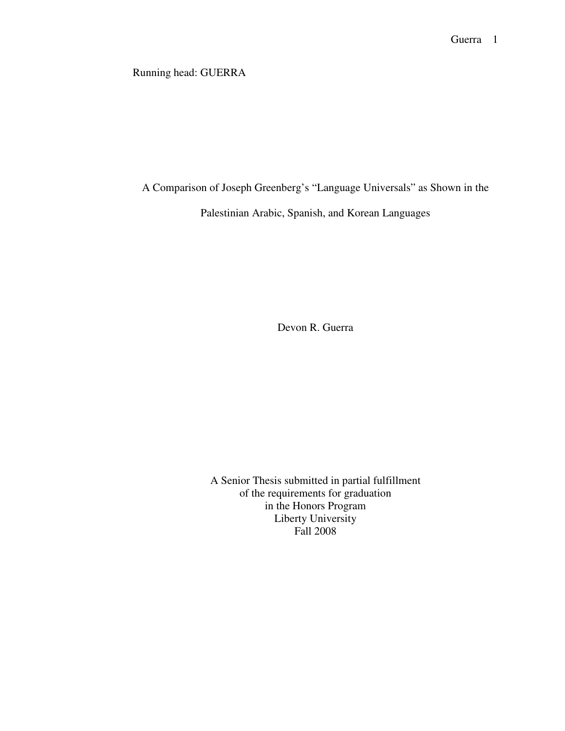Running head: GUERRA

A Comparison of Joseph Greenberg's "Language Universals" as Shown in the

Palestinian Arabic, Spanish, and Korean Languages

Devon R. Guerra

A Senior Thesis submitted in partial fulfillment of the requirements for graduation in the Honors Program Liberty University Fall 2008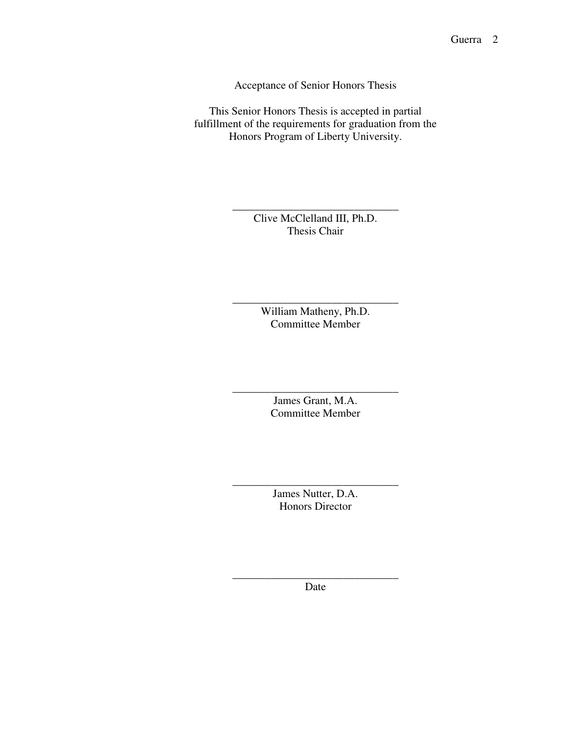Acceptance of Senior Honors Thesis

This Senior Honors Thesis is accepted in partial fulfillment of the requirements for graduation from the Honors Program of Liberty University.

> Clive McClelland III, Ph.D. Thesis Chair

\_\_\_\_\_\_\_\_\_\_\_\_\_\_\_\_\_\_\_\_\_\_\_\_\_\_\_\_\_\_

William Matheny, Ph.D. Committee Member

\_\_\_\_\_\_\_\_\_\_\_\_\_\_\_\_\_\_\_\_\_\_\_\_\_\_\_\_\_\_

James Grant, M.A. Committee Member

\_\_\_\_\_\_\_\_\_\_\_\_\_\_\_\_\_\_\_\_\_\_\_\_\_\_\_\_\_\_

James Nutter, D.A. Honors Director

\_\_\_\_\_\_\_\_\_\_\_\_\_\_\_\_\_\_\_\_\_\_\_\_\_\_\_\_\_\_

\_\_\_\_\_\_\_\_\_\_\_\_\_\_\_\_\_\_\_\_\_\_\_\_\_\_\_\_\_\_ Date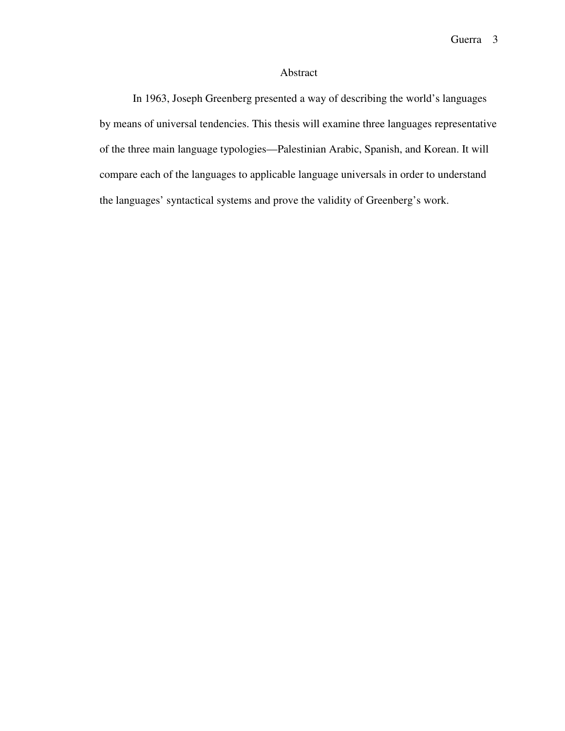## Abstract

In 1963, Joseph Greenberg presented a way of describing the world's languages by means of universal tendencies. This thesis will examine three languages representative of the three main language typologies—Palestinian Arabic, Spanish, and Korean. It will compare each of the languages to applicable language universals in order to understand the languages' syntactical systems and prove the validity of Greenberg's work.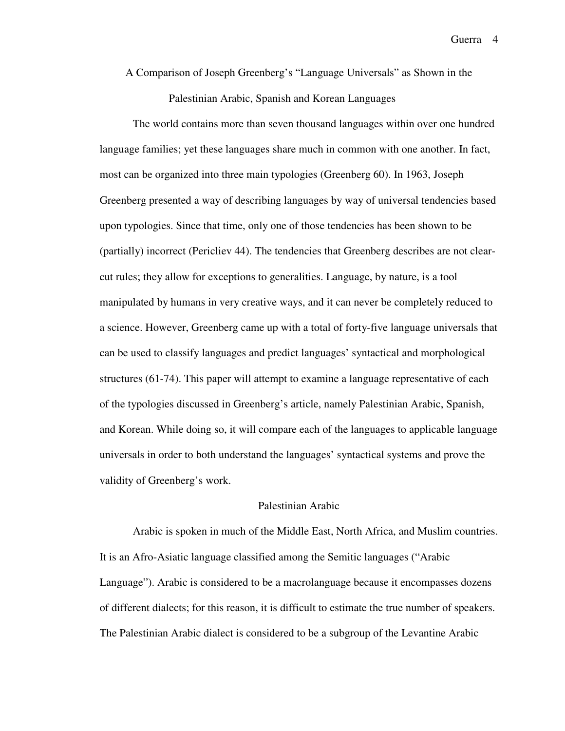A Comparison of Joseph Greenberg's "Language Universals" as Shown in the Palestinian Arabic, Spanish and Korean Languages

The world contains more than seven thousand languages within over one hundred language families; yet these languages share much in common with one another. In fact, most can be organized into three main typologies (Greenberg 60). In 1963, Joseph Greenberg presented a way of describing languages by way of universal tendencies based upon typologies. Since that time, only one of those tendencies has been shown to be (partially) incorrect (Pericliev 44). The tendencies that Greenberg describes are not clearcut rules; they allow for exceptions to generalities. Language, by nature, is a tool manipulated by humans in very creative ways, and it can never be completely reduced to a science. However, Greenberg came up with a total of forty-five language universals that can be used to classify languages and predict languages' syntactical and morphological structures (61-74). This paper will attempt to examine a language representative of each of the typologies discussed in Greenberg's article, namely Palestinian Arabic, Spanish, and Korean. While doing so, it will compare each of the languages to applicable language universals in order to both understand the languages' syntactical systems and prove the validity of Greenberg's work.

### Palestinian Arabic

Arabic is spoken in much of the Middle East, North Africa, and Muslim countries. It is an Afro-Asiatic language classified among the Semitic languages ("Arabic Language"). Arabic is considered to be a macrolanguage because it encompasses dozens of different dialects; for this reason, it is difficult to estimate the true number of speakers. The Palestinian Arabic dialect is considered to be a subgroup of the Levantine Arabic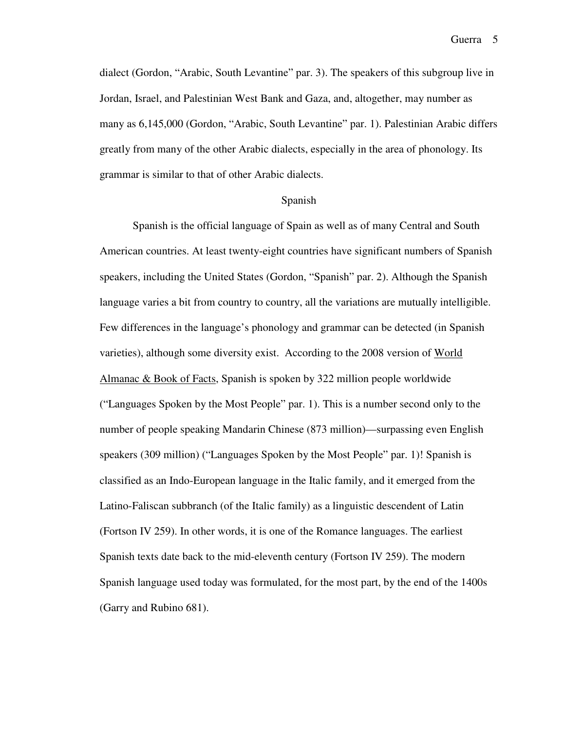dialect (Gordon, "Arabic, South Levantine" par. 3). The speakers of this subgroup live in Jordan, Israel, and Palestinian West Bank and Gaza, and, altogether, may number as many as 6,145,000 (Gordon, "Arabic, South Levantine" par. 1). Palestinian Arabic differs greatly from many of the other Arabic dialects, especially in the area of phonology. Its grammar is similar to that of other Arabic dialects.

#### Spanish

Spanish is the official language of Spain as well as of many Central and South American countries. At least twenty-eight countries have significant numbers of Spanish speakers, including the United States (Gordon, "Spanish" par. 2). Although the Spanish language varies a bit from country to country, all the variations are mutually intelligible. Few differences in the language's phonology and grammar can be detected (in Spanish varieties), although some diversity exist. According to the 2008 version of World Almanac & Book of Facts, Spanish is spoken by 322 million people worldwide ("Languages Spoken by the Most People" par. 1). This is a number second only to the number of people speaking Mandarin Chinese (873 million)—surpassing even English speakers (309 million) ("Languages Spoken by the Most People" par. 1)! Spanish is classified as an Indo-European language in the Italic family, and it emerged from the Latino-Faliscan subbranch (of the Italic family) as a linguistic descendent of Latin (Fortson IV 259). In other words, it is one of the Romance languages. The earliest Spanish texts date back to the mid-eleventh century (Fortson IV 259). The modern Spanish language used today was formulated, for the most part, by the end of the 1400s (Garry and Rubino 681).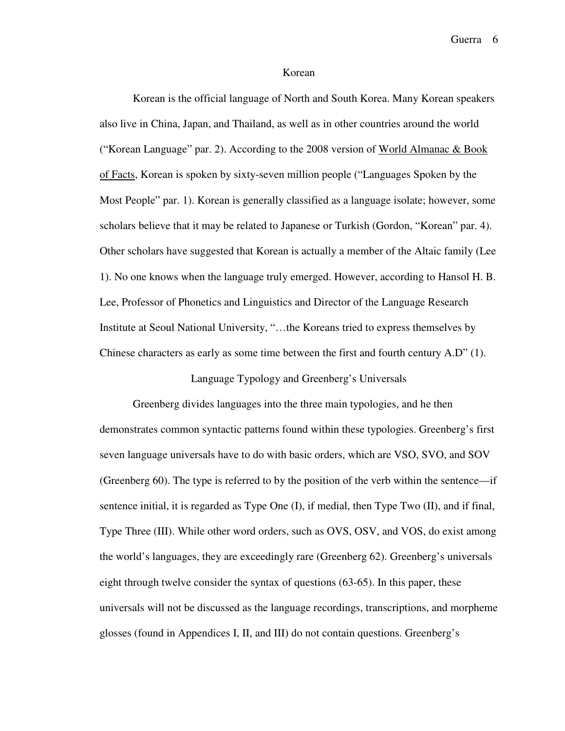#### Korean

Korean is the official language of North and South Korea. Many Korean speakers also live in China, Japan, and Thailand, as well as in other countries around the world ("Korean Language" par. 2). According to the 2008 version of World Almanac & Book of Facts, Korean is spoken by sixty-seven million people ("Languages Spoken by the Most People" par. 1). Korean is generally classified as a language isolate; however, some scholars believe that it may be related to Japanese or Turkish (Gordon, "Korean" par. 4). Other scholars have suggested that Korean is actually a member of the Altaic family (Lee 1). No one knows when the language truly emerged. However, according to Hansol H. B. Lee, Professor of Phonetics and Linguistics and Director of the Language Research Institute at Seoul National University, "…the Koreans tried to express themselves by Chinese characters as early as some time between the first and fourth century A.D" (1).

Language Typology and Greenberg's Universals

Greenberg divides languages into the three main typologies, and he then demonstrates common syntactic patterns found within these typologies. Greenberg's first seven language universals have to do with basic orders, which are VSO, SVO, and SOV (Greenberg 60). The type is referred to by the position of the verb within the sentence—if sentence initial, it is regarded as Type One (I), if medial, then Type Two (II), and if final, Type Three (III). While other word orders, such as OVS, OSV, and VOS, do exist among the world's languages, they are exceedingly rare (Greenberg 62). Greenberg's universals eight through twelve consider the syntax of questions (63-65). In this paper, these universals will not be discussed as the language recordings, transcriptions, and morpheme glosses (found in Appendices I, II, and III) do not contain questions. Greenberg's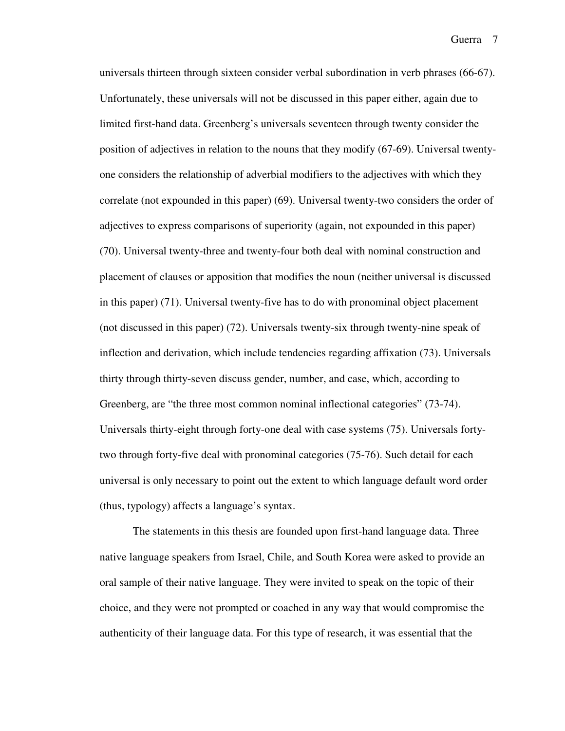universals thirteen through sixteen consider verbal subordination in verb phrases (66-67). Unfortunately, these universals will not be discussed in this paper either, again due to limited first-hand data. Greenberg's universals seventeen through twenty consider the position of adjectives in relation to the nouns that they modify (67-69). Universal twentyone considers the relationship of adverbial modifiers to the adjectives with which they correlate (not expounded in this paper) (69). Universal twenty-two considers the order of adjectives to express comparisons of superiority (again, not expounded in this paper) (70). Universal twenty-three and twenty-four both deal with nominal construction and placement of clauses or apposition that modifies the noun (neither universal is discussed in this paper) (71). Universal twenty-five has to do with pronominal object placement (not discussed in this paper) (72). Universals twenty-six through twenty-nine speak of inflection and derivation, which include tendencies regarding affixation (73). Universals thirty through thirty-seven discuss gender, number, and case, which, according to Greenberg, are "the three most common nominal inflectional categories" (73-74). Universals thirty-eight through forty-one deal with case systems (75). Universals fortytwo through forty-five deal with pronominal categories (75-76). Such detail for each universal is only necessary to point out the extent to which language default word order (thus, typology) affects a language's syntax.

The statements in this thesis are founded upon first-hand language data. Three native language speakers from Israel, Chile, and South Korea were asked to provide an oral sample of their native language. They were invited to speak on the topic of their choice, and they were not prompted or coached in any way that would compromise the authenticity of their language data. For this type of research, it was essential that the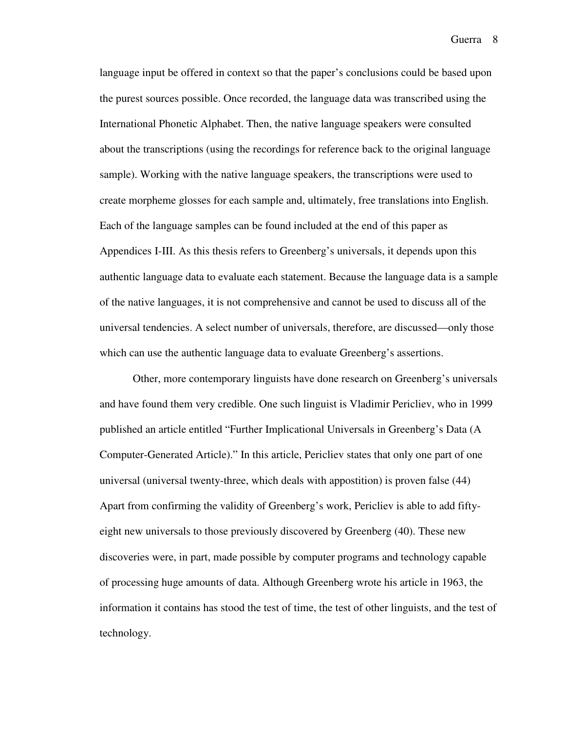language input be offered in context so that the paper's conclusions could be based upon the purest sources possible. Once recorded, the language data was transcribed using the International Phonetic Alphabet. Then, the native language speakers were consulted about the transcriptions (using the recordings for reference back to the original language sample). Working with the native language speakers, the transcriptions were used to create morpheme glosses for each sample and, ultimately, free translations into English. Each of the language samples can be found included at the end of this paper as Appendices I-III. As this thesis refers to Greenberg's universals, it depends upon this authentic language data to evaluate each statement. Because the language data is a sample of the native languages, it is not comprehensive and cannot be used to discuss all of the universal tendencies. A select number of universals, therefore, are discussed—only those which can use the authentic language data to evaluate Greenberg's assertions.

Other, more contemporary linguists have done research on Greenberg's universals and have found them very credible. One such linguist is Vladimir Pericliev, who in 1999 published an article entitled "Further Implicational Universals in Greenberg's Data (A Computer-Generated Article)." In this article, Pericliev states that only one part of one universal (universal twenty-three, which deals with appostition) is proven false (44) Apart from confirming the validity of Greenberg's work, Pericliev is able to add fiftyeight new universals to those previously discovered by Greenberg (40). These new discoveries were, in part, made possible by computer programs and technology capable of processing huge amounts of data. Although Greenberg wrote his article in 1963, the information it contains has stood the test of time, the test of other linguists, and the test of technology.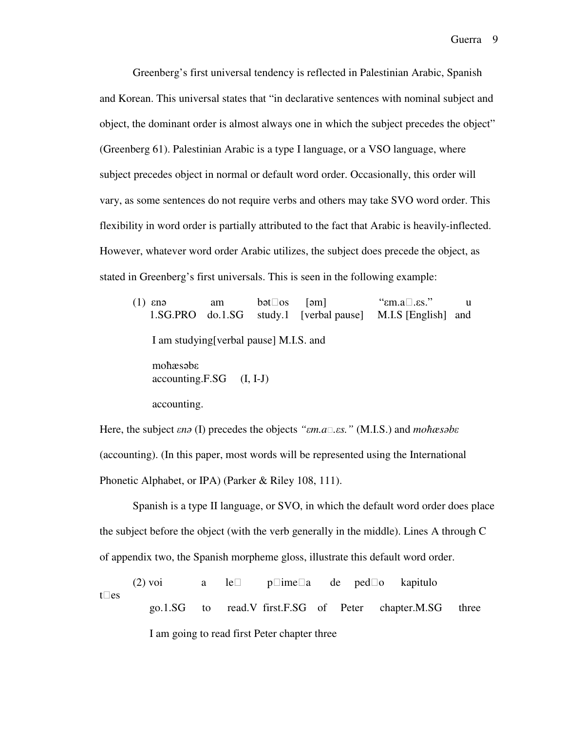Greenberg's first universal tendency is reflected in Palestinian Arabic, Spanish and Korean. This universal states that "in declarative sentences with nominal subject and object, the dominant order is almost always one in which the subject precedes the object" (Greenberg 61). Palestinian Arabic is a type I language, or a VSO language, where subject precedes object in normal or default word order. Occasionally, this order will vary, as some sentences do not require verbs and others may take SVO word order. This flexibility in word order is partially attributed to the fact that Arabic is heavily-inflected. However, whatever word order Arabic utilizes, the subject does precede the object, as stated in Greenberg's first universals. This is seen in the following example:

(1) εnə am bətos [əm] "εm.a.εs." u 1.SG.PRO do.1.SG study.1 [verbal pause] M.I.S [English] and I am studying[verbal pause] M.I.S. and moħæsəbε  $accounting.F.SG (I, I-J)$ accounting.

Here, the subject ε*n*ə (I) precedes the objects *"*ε*m.a.*ε*s."* (M.I.S.) and *mo*ħ*æs*ə*b*ε (accounting). (In this paper, most words will be represented using the International Phonetic Alphabet, or IPA) (Parker & Riley 108, 111).

Spanish is a type II language, or SVO, in which the default word order does place the subject before the object (with the verb generally in the middle). Lines A through C of appendix two, the Spanish morpheme gloss, illustrate this default word order.

(2) voi a le pimea de pedo kapitulo t es go.1.SG to read.V first.F.SG of Peter chapter.M.SG three I am going to read first Peter chapter three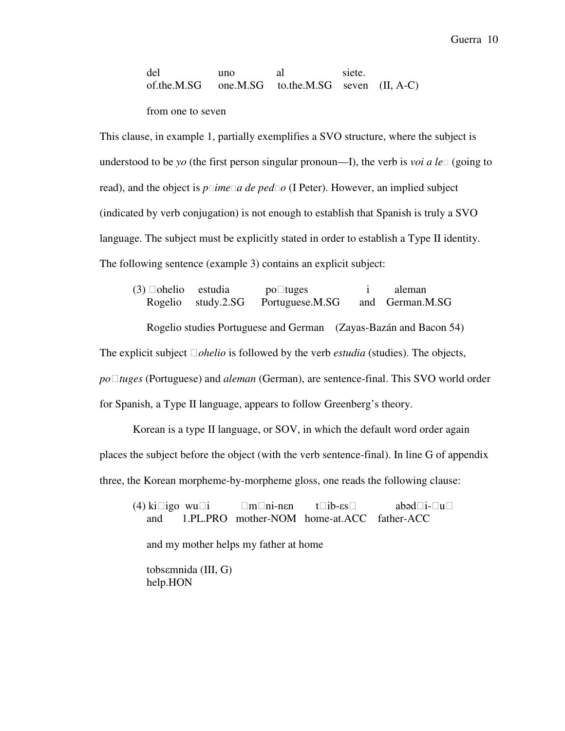del uno al siete. of.the.M.SG one.M.SG to.the.M.SG seven (II, A-C)

from one to seven

This clause, in example 1, partially exemplifies a SVO structure, where the subject is understood to be *yo* (the first person singular pronoun—I), the verb is *voi a le* (going to read), and the object is *pimea de pedo* (I Peter). However, an implied subject (indicated by verb conjugation) is not enough to establish that Spanish is truly a SVO language. The subject must be explicitly stated in order to establish a Type II identity. The following sentence (example 3) contains an explicit subject:

(3) ohelio estudia potuges i aleman Rogelio study.2.SG Portuguese.M.SG and German.M.SG

Rogelio studies Portuguese and German (Zayas-Bazán and Bacon 54)

The explicit subject  $\Box$ *ohelio* is followed by the verb *estudia* (studies). The objects,

*po* $\Box$ *tuges* (Portuguese) and *aleman* (German), are sentence-final. This SVO world order for Spanish, a Type II language, appears to follow Greenberg's theory.

Korean is a type II language, or SOV, in which the default word order again places the subject before the object (with the verb sentence-final). In line G of appendix three, the Korean morpheme-by-morpheme gloss, one reads the following clause:

(4) kiigo wui mni-nεn tib-εs abədi-u and 1.PL.PRO mother-NOM home-at.ACC father-ACC and my mother helps my father at home tobsεmnida (III, G) help.HON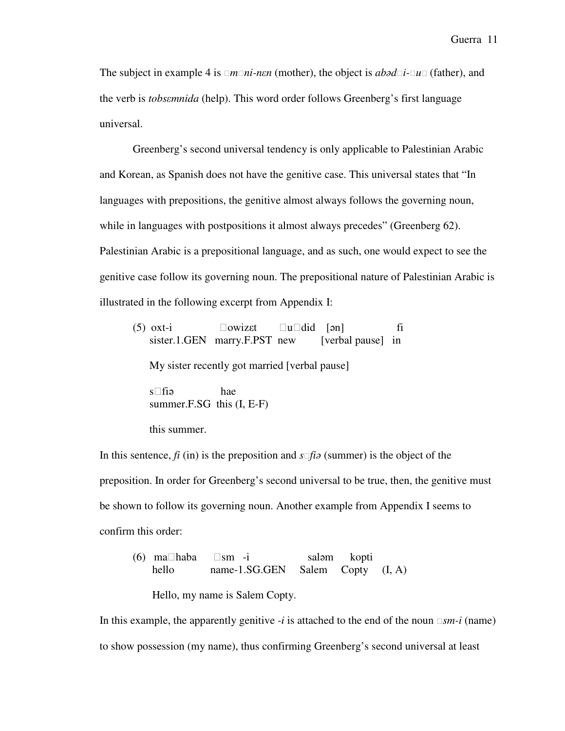The subject in example 4 is  $\Box m \Box n$ *i-nεn* (mother), the object is *abad* $\Box i$ - $\Box u \Box$  (father), and the verb is *tobs*ε*mnida* (help). This word order follows Greenberg's first language universal.

Greenberg's second universal tendency is only applicable to Palestinian Arabic and Korean, as Spanish does not have the genitive case. This universal states that "In languages with prepositions, the genitive almost always follows the governing noun, while in languages with postpositions it almost always precedes" (Greenberg 62). Palestinian Arabic is a prepositional language, and as such, one would expect to see the genitive case follow its governing noun. The prepositional nature of Palestinian Arabic is illustrated in the following excerpt from Appendix I:

| $(5)$ oxt-i | owizet                       |  | u did [ən]        |  |
|-------------|------------------------------|--|-------------------|--|
|             | sister.1.GEN marry.F.PST new |  | [verbal pause] in |  |

My sister recently got married [verbal pause]

 sfiə hae summer.F.SG this (I, E-F)

this summer.

In this sentence,  $f_i$  (in) is the preposition and  $s \Box f i \partial s$  (summer) is the object of the preposition. In order for Greenberg's second universal to be true, then, the genitive must be shown to follow its governing noun. Another example from Appendix I seems to confirm this order:

(6) mahaba sm -i saləm kopti hello name-1.SG.GEN Salem Copty (I, A)

Hello, my name is Salem Copty.

In this example, the apparently genitive *-i* is attached to the end of the noun  $\Box sm-i$  (name) to show possession (my name), thus confirming Greenberg's second universal at least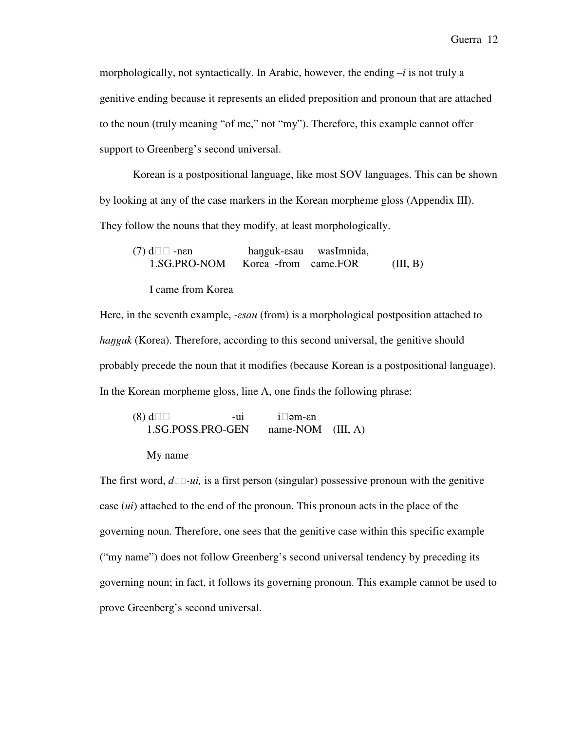morphologically, not syntactically. In Arabic, however, the ending –*i* is not truly a genitive ending because it represents an elided preposition and pronoun that are attached to the noun (truly meaning "of me," not "my"). Therefore, this example cannot offer support to Greenberg's second universal.

Korean is a postpositional language, like most SOV languages. This can be shown by looking at any of the case markers in the Korean morpheme gloss (Appendix III). They follow the nouns that they modify, at least morphologically.

(7) d -nεn haŋguk-εsau wasImnida, 1.SG.PRO-NOM Korea -from came.FOR (III, B)

I came from Korea

Here, in the seventh example, *-*ε*sau* (from) is a morphological postposition attached to *hanguk* (Korea). Therefore, according to this second universal, the genitive should probably precede the noun that it modifies (because Korean is a postpositional language). In the Korean morpheme gloss, line A, one finds the following phrase:

 $(8)$  d  $-ui$  i əm- $\epsilon$ n 1.SG.POSS.PRO-GEN name-NOM (III, A)

#### My name

The first word,  $d\Box \Box \neg u$ , is a first person (singular) possessive pronoun with the genitive case (*ui*) attached to the end of the pronoun. This pronoun acts in the place of the governing noun. Therefore, one sees that the genitive case within this specific example ("my name") does not follow Greenberg's second universal tendency by preceding its governing noun; in fact, it follows its governing pronoun. This example cannot be used to prove Greenberg's second universal.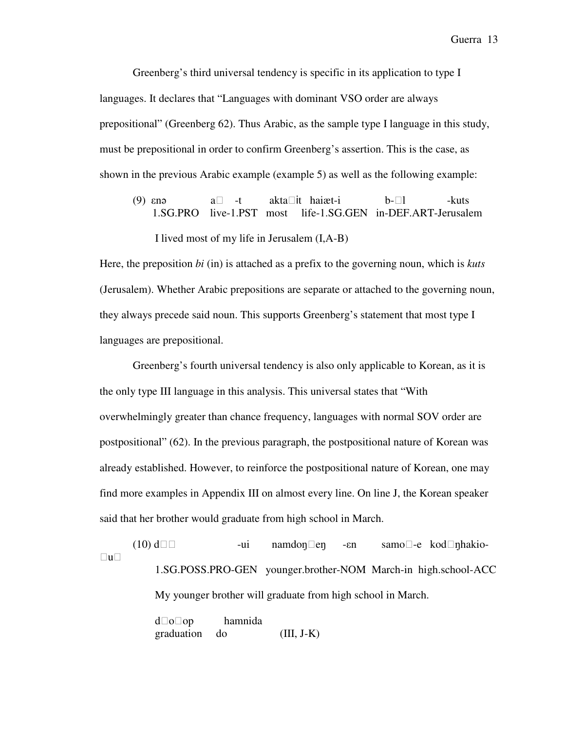Greenberg's third universal tendency is specific in its application to type I languages. It declares that "Languages with dominant VSO order are always prepositional" (Greenberg 62). Thus Arabic, as the sample type I language in this study, must be prepositional in order to confirm Greenberg's assertion. This is the case, as shown in the previous Arabic example (example 5) as well as the following example:

(9) εnə a -t aktait haiæt-i b-l -kuts 1.SG.PRO live-1.PST most life-1.SG.GEN in-DEF.ART-Jerusalem I lived most of my life in Jerusalem (I,A-B)

Here, the preposition *bi* (in) is attached as a prefix to the governing noun, which is *kuts* (Jerusalem). Whether Arabic prepositions are separate or attached to the governing noun, they always precede said noun. This supports Greenberg's statement that most type I languages are prepositional.

Greenberg's fourth universal tendency is also only applicable to Korean, as it is the only type III language in this analysis. This universal states that "With overwhelmingly greater than chance frequency, languages with normal SOV order are postpositional" (62). In the previous paragraph, the postpositional nature of Korean was already established. However, to reinforce the postpositional nature of Korean, one may find more examples in Appendix III on almost every line. On line J, the Korean speaker said that her brother would graduate from high school in March.

 $(10)$  d  $-ui$  namdon en  $-en$  samo $-e$  kod nhakiou 1.SG.POSS.PRO-GEN younger.brother-NOM March-in high.school-ACC My younger brother will graduate from high school in March.

> doop hamnida graduation do (III, J-K)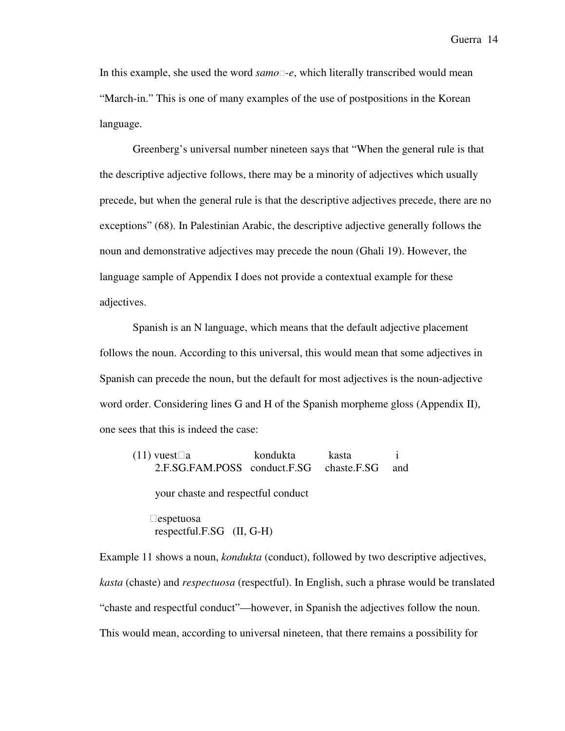In this example, she used the word  $\text{same}$ -e, which literally transcribed would mean "March-in." This is one of many examples of the use of postpositions in the Korean language.

Greenberg's universal number nineteen says that "When the general rule is that the descriptive adjective follows, there may be a minority of adjectives which usually precede, but when the general rule is that the descriptive adjectives precede, there are no exceptions" (68). In Palestinian Arabic, the descriptive adjective generally follows the noun and demonstrative adjectives may precede the noun (Ghali 19). However, the language sample of Appendix I does not provide a contextual example for these adjectives.

Spanish is an N language, which means that the default adjective placement follows the noun. According to this universal, this would mean that some adjectives in Spanish can precede the noun, but the default for most adjectives is the noun-adjective word order. Considering lines G and H of the Spanish morpheme gloss (Appendix II), one sees that this is indeed the case:

| $(11)$ vuest a<br>2.F.SG.FAM.POSS conduct.F.SG chaste.F.SG | kondukta | kasta | and |  |
|------------------------------------------------------------|----------|-------|-----|--|
| your chaste and respectful conduct                         |          |       |     |  |
| espetuosa<br>respectful.F.SG $(II, G-H)$                   |          |       |     |  |

Example 11 shows a noun, *kondukta* (conduct), followed by two descriptive adjectives, *kasta* (chaste) and *respectuosa* (respectful). In English, such a phrase would be translated "chaste and respectful conduct"—however, in Spanish the adjectives follow the noun. This would mean, according to universal nineteen, that there remains a possibility for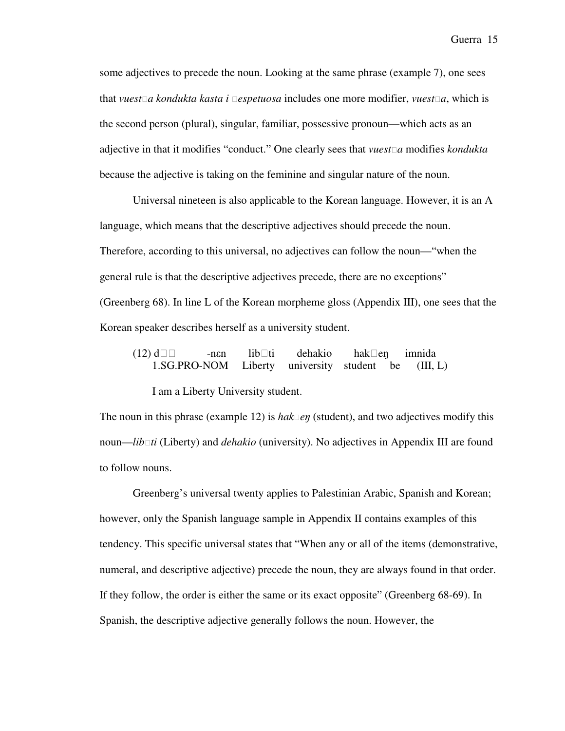some adjectives to precede the noun. Looking at the same phrase (example 7), one sees that *vuesta kondukta kasta i espetuosa* includes one more modifier, *vuesta*, which is the second person (plural), singular, familiar, possessive pronoun—which acts as an adjective in that it modifies "conduct." One clearly sees that *vuesta* modifies *kondukta* because the adjective is taking on the feminine and singular nature of the noun.

Universal nineteen is also applicable to the Korean language. However, it is an A language, which means that the descriptive adjectives should precede the noun. Therefore, according to this universal, no adjectives can follow the noun—"when the general rule is that the descriptive adjectives precede, there are no exceptions" (Greenberg 68). In line L of the Korean morpheme gloss (Appendix III), one sees that the Korean speaker describes herself as a university student.

 (12) d -nεn libti dehakio hakeŋ imnida 1.SG.PRO-NOM Liberty university student be (III, L)

I am a Liberty University student.

The noun in this phrase (example 12) is  $hak \Box en$  (student), and two adjectives modify this noun—*libti* (Liberty) and *dehakio* (university). No adjectives in Appendix III are found to follow nouns.

Greenberg's universal twenty applies to Palestinian Arabic, Spanish and Korean; however, only the Spanish language sample in Appendix II contains examples of this tendency. This specific universal states that "When any or all of the items (demonstrative, numeral, and descriptive adjective) precede the noun, they are always found in that order. If they follow, the order is either the same or its exact opposite" (Greenberg 68-69). In Spanish, the descriptive adjective generally follows the noun. However, the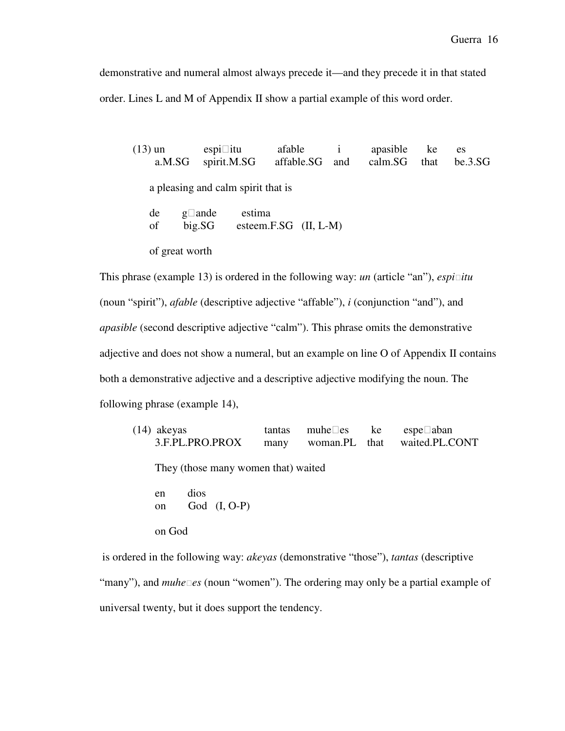demonstrative and numeral almost always precede it—and they precede it in that stated order. Lines L and M of Appendix II show a partial example of this word order.

 (13) un espiitu afable i apasible ke es a.M.SG spirit.M.SG affable.SG and calm.SG that be.3.SG a pleasing and calm spirit that is de gande estima of big.SG esteem.F.SG (II, L-M) of great worth

This phrase (example 13) is ordered in the following way: *un* (article "an"), *espiitu*  (noun "spirit"), *afable* (descriptive adjective "affable"), *i* (conjunction "and"), and *apasible* (second descriptive adjective "calm"). This phrase omits the demonstrative adjective and does not show a numeral, but an example on line O of Appendix II contains both a demonstrative adjective and a descriptive adjective modifying the noun. The following phrase (example 14),

(14) akeyas tantas muhees ke espeaban 3.F.PL.PRO.PROX many woman.PL that waited.PL.CONT They (those many women that) waited en dios on God (I, O-P) on God

 is ordered in the following way: *akeyas* (demonstrative "those"), *tantas* (descriptive "many"), and *muhees* (noun "women"). The ordering may only be a partial example of universal twenty, but it does support the tendency.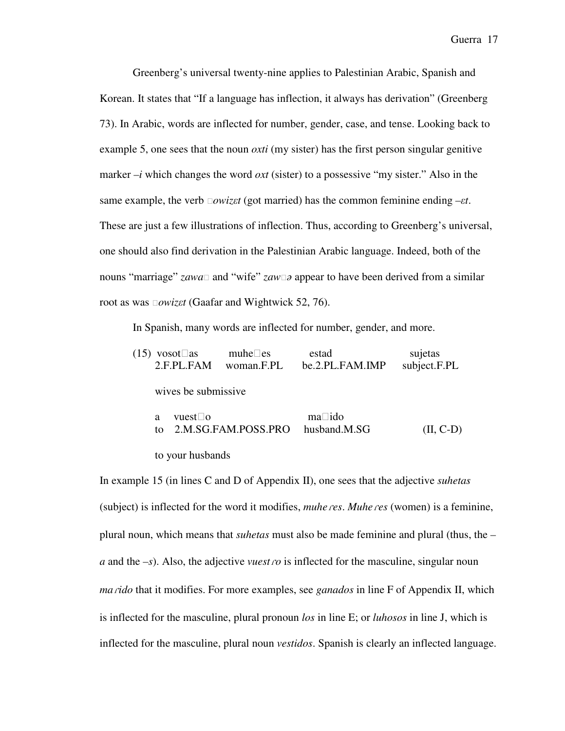Greenberg's universal twenty-nine applies to Palestinian Arabic, Spanish and Korean. It states that "If a language has inflection, it always has derivation" (Greenberg 73). In Arabic, words are inflected for number, gender, case, and tense. Looking back to example 5, one sees that the noun *oxti* (my sister) has the first person singular genitive marker *–i* which changes the word *oxt* (sister) to a possessive "my sister." Also in the same example, the verb *owiz*ε*t* (got married) has the common feminine ending *–*ε*t*. These are just a few illustrations of inflection. Thus, according to Greenberg's universal, one should also find derivation in the Palestinian Arabic language. Indeed, both of the nouns "marriage" *zawa* $\Box$  and "wife" *zaw* $\Box$  appear to have been derived from a similar root as was *owiz*ε*t* (Gaafar and Wightwick 52, 76).

In Spanish, many words are inflected for number, gender, and more.

| $(15)$ vosot as |         | 2.F.PL.FAM           | muhe es<br>woman.F.PL | estad  | be.2.PL.FAM.IMP | sujetas<br>subject.F.PL |
|-----------------|---------|----------------------|-----------------------|--------|-----------------|-------------------------|
|                 |         | wives be submissive. |                       |        |                 |                         |
|                 | a<br>tΩ | vuest o              | 2.M.SG.FAM.POSS.PRO   | ma ido | husband.M.SG    | $(II, C-D)$             |
|                 |         | to your husbands     |                       |        |                 |                         |

In example 15 (in lines C and D of Appendix II), one sees that the adjective *suhetas* (subject) is inflected for the word it modifies, *muhe*ɾ*es*. *Muhe*ɾ*es* (women) is a feminine, plural noun, which means that *suhetas* must also be made feminine and plural (thus, the *– a* and the *–s*). Also, the adjective *vuest ro* is inflected for the masculine, singular noun *ma*ɾ*ido* that it modifies. For more examples, see *ganados* in line F of Appendix II, which is inflected for the masculine, plural pronoun *los* in line E; or *luhosos* in line J, which is inflected for the masculine, plural noun *vestidos*. Spanish is clearly an inflected language.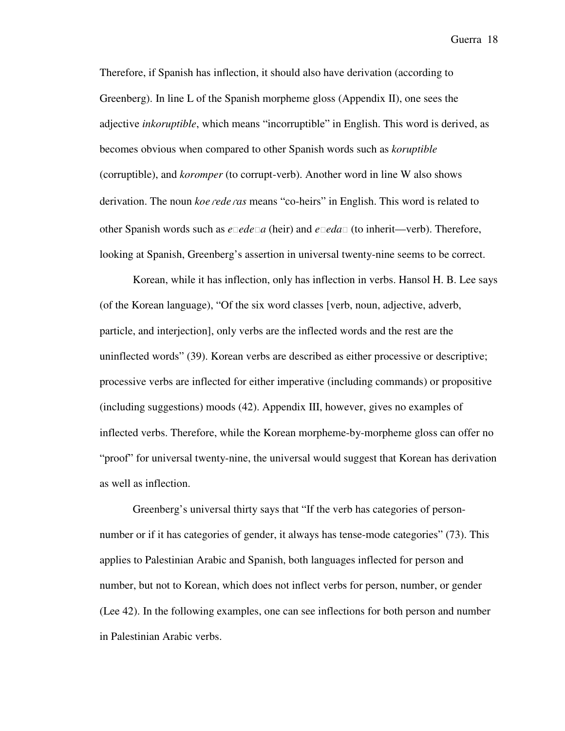Therefore, if Spanish has inflection, it should also have derivation (according to Greenberg). In line L of the Spanish morpheme gloss (Appendix II), one sees the adjective *inkoruptible*, which means "incorruptible" in English. This word is derived, as becomes obvious when compared to other Spanish words such as *koruptible*  (corruptible), and *koromper* (to corrupt-verb). Another word in line W also shows derivation. The noun *koe rede ras* means "co-heirs" in English. This word is related to other Spanish words such as *eedea* (heir) and *eeda* (to inherit—verb). Therefore, looking at Spanish, Greenberg's assertion in universal twenty-nine seems to be correct.

Korean, while it has inflection, only has inflection in verbs. Hansol H. B. Lee says (of the Korean language), "Of the six word classes [verb, noun, adjective, adverb, particle, and interjection], only verbs are the inflected words and the rest are the uninflected words" (39). Korean verbs are described as either processive or descriptive; processive verbs are inflected for either imperative (including commands) or propositive (including suggestions) moods (42). Appendix III, however, gives no examples of inflected verbs. Therefore, while the Korean morpheme-by-morpheme gloss can offer no "proof" for universal twenty-nine, the universal would suggest that Korean has derivation as well as inflection.

Greenberg's universal thirty says that "If the verb has categories of personnumber or if it has categories of gender, it always has tense-mode categories" (73). This applies to Palestinian Arabic and Spanish, both languages inflected for person and number, but not to Korean, which does not inflect verbs for person, number, or gender (Lee 42). In the following examples, one can see inflections for both person and number in Palestinian Arabic verbs.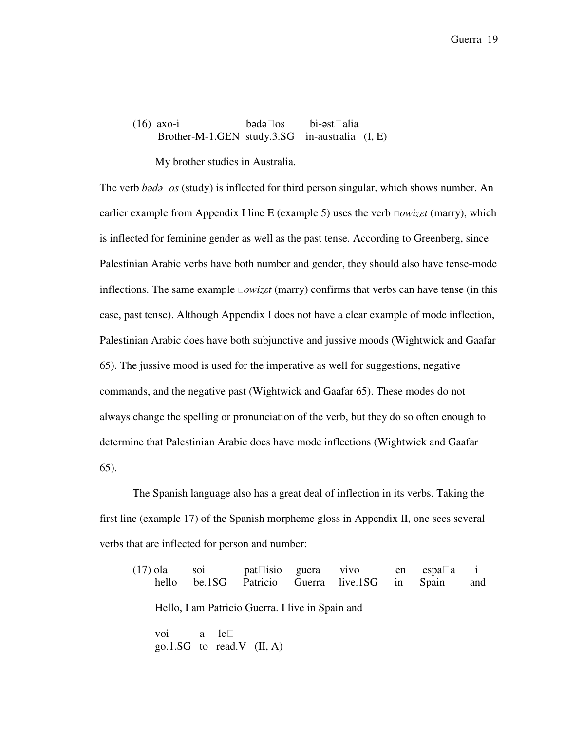(16) axo-i bədəos bi-əstalia Brother-M-1.GEN study.3.SG in-australia (I, E)

My brother studies in Australia.

The verb *b*ə*d*ə*os* (study) is inflected for third person singular, which shows number. An earlier example from Appendix I line E (example 5) uses the verb *owiz*ε*t* (marry), which is inflected for feminine gender as well as the past tense. According to Greenberg, since Palestinian Arabic verbs have both number and gender, they should also have tense-mode inflections. The same example *owiz*ε*t* (marry) confirms that verbs can have tense (in this case, past tense). Although Appendix I does not have a clear example of mode inflection, Palestinian Arabic does have both subjunctive and jussive moods (Wightwick and Gaafar 65). The jussive mood is used for the imperative as well for suggestions, negative commands, and the negative past (Wightwick and Gaafar 65). These modes do not always change the spelling or pronunciation of the verb, but they do so often enough to determine that Palestinian Arabic does have mode inflections (Wightwick and Gaafar 65).

The Spanish language also has a great deal of inflection in its verbs. Taking the first line (example 17) of the Spanish morpheme gloss in Appendix II, one sees several verbs that are inflected for person and number:

| $(17)$ ola<br>hello | SO <sub>1</sub> |                                                  | pat is io guera vivo en<br>be.1SG Patricio Guerra live.1SG in Spain | espa a | $\mathbf{i}$<br>and |
|---------------------|-----------------|--------------------------------------------------|---------------------------------------------------------------------|--------|---------------------|
|                     |                 | Hello, I am Patricio Guerra. I live in Spain and |                                                                     |        |                     |
|                     | voi a le        | go.1. SG to read V $(II, A)$                     |                                                                     |        |                     |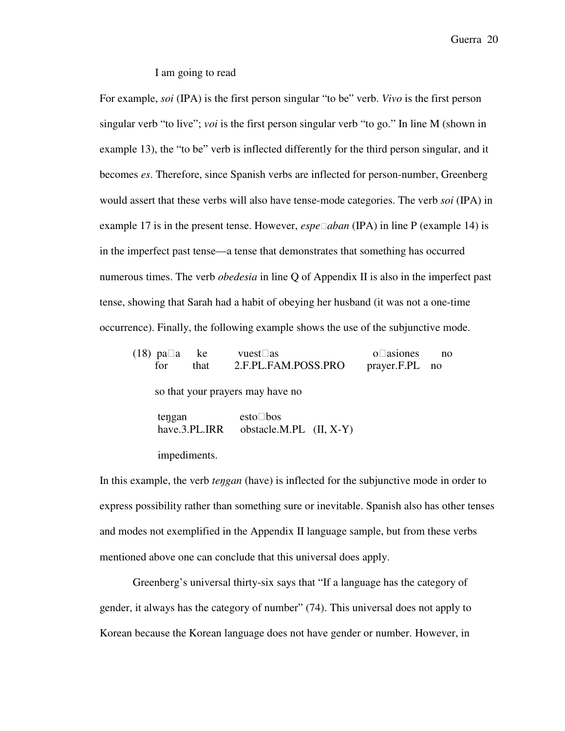I am going to read

For example, *soi* (IPA) is the first person singular "to be" verb. *Vivo* is the first person singular verb "to live"; *voi* is the first person singular verb "to go." In line M (shown in example 13), the "to be" verb is inflected differently for the third person singular, and it becomes *es*. Therefore, since Spanish verbs are inflected for person-number, Greenberg would assert that these verbs will also have tense-mode categories. The verb *soi* (IPA) in example 17 is in the present tense. However, *espeaban* (IPA) in line P (example 14) is in the imperfect past tense—a tense that demonstrates that something has occurred numerous times. The verb *obedesia* in line Q of Appendix II is also in the imperfect past tense, showing that Sarah had a habit of obeying her husband (it was not a one-time occurrence). Finally, the following example shows the use of the subjunctive mode.

| $(18)$ pa a<br>ke<br>for<br>that        | vuest as<br>2.F.PL.FAM.POSS.PRO       | asiones<br>$\Omega$<br>prayer.F.PL no | no |
|-----------------------------------------|---------------------------------------|---------------------------------------|----|
| so that your prayers may have no        |                                       |                                       |    |
| tengan<br>have.3.PL.IRR<br>impediments. | esto bos<br>obstacle.M.PL $(II, X-Y)$ |                                       |    |

In this example, the verb *te*ŋ*gan* (have) is inflected for the subjunctive mode in order to express possibility rather than something sure or inevitable. Spanish also has other tenses and modes not exemplified in the Appendix II language sample, but from these verbs mentioned above one can conclude that this universal does apply.

Greenberg's universal thirty-six says that "If a language has the category of gender, it always has the category of number" (74). This universal does not apply to Korean because the Korean language does not have gender or number. However, in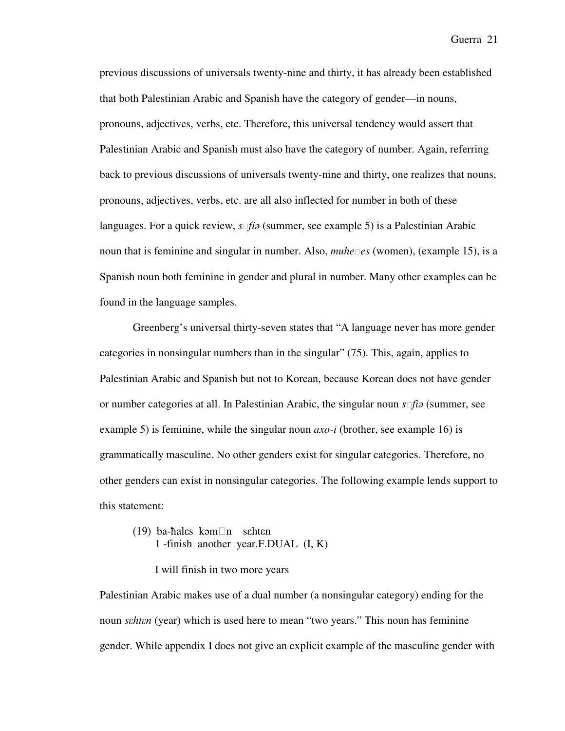previous discussions of universals twenty-nine and thirty, it has already been established that both Palestinian Arabic and Spanish have the category of gender—in nouns, pronouns, adjectives, verbs, etc. Therefore, this universal tendency would assert that Palestinian Arabic and Spanish must also have the category of number. Again, referring back to previous discussions of universals twenty-nine and thirty, one realizes that nouns, pronouns, adjectives, verbs, etc. are all also inflected for number in both of these languages. For a quick review, *sfi*ə (summer, see example 5) is a Palestinian Arabic noun that is feminine and singular in number. Also, *muhees* (women), (example 15), is a Spanish noun both feminine in gender and plural in number. Many other examples can be found in the language samples.

Greenberg's universal thirty-seven states that "A language never has more gender categories in nonsingular numbers than in the singular" (75). This, again, applies to Palestinian Arabic and Spanish but not to Korean, because Korean does not have gender or number categories at all. In Palestinian Arabic, the singular noun *sfi*ə (summer, see example 5) is feminine, while the singular noun *axo-i* (brother, see example 16) is grammatically masculine. No other genders exist for singular categories. Therefore, no other genders can exist in nonsingular categories. The following example lends support to this statement:

(19) ba-hales kəmn sehten 1 -finish another year.F.DUAL (I, K)

I will finish in two more years

Palestinian Arabic makes use of a dual number (a nonsingular category) ending for the noun *s*ε*ht*ε*n* (year) which is used here to mean "two years." This noun has feminine gender. While appendix I does not give an explicit example of the masculine gender with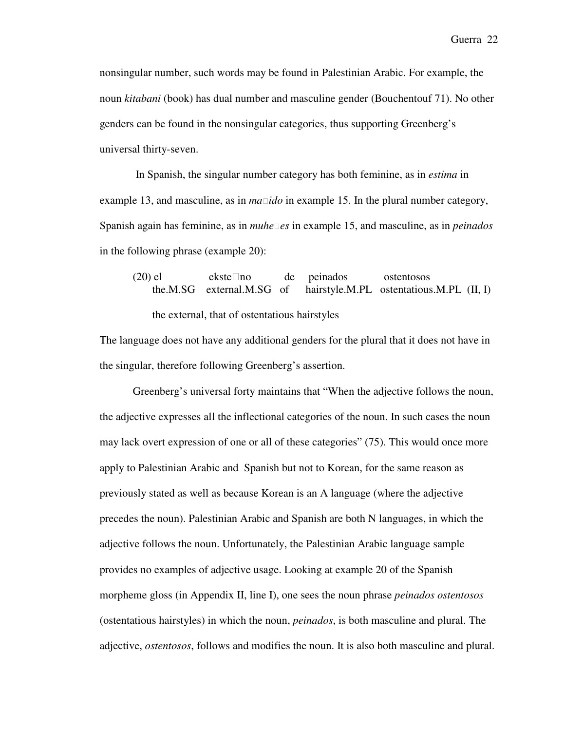nonsingular number, such words may be found in Palestinian Arabic. For example, the noun *kitabani* (book) has dual number and masculine gender (Bouchentouf 71). No other genders can be found in the nonsingular categories, thus supporting Greenberg's universal thirty-seven.

 In Spanish, the singular number category has both feminine, as in *estima* in example 13, and masculine, as in *maido* in example 15. In the plural number category, Spanish again has feminine, as in *muhees* in example 15, and masculine, as in *peinados* in the following phrase (example 20):

 (20) el eksteno de peinados ostentosos the.M.SG external.M.SG of hairstyle.M.PL ostentatious.M.PL (II, I) the external, that of ostentatious hairstyles

The language does not have any additional genders for the plural that it does not have in the singular, therefore following Greenberg's assertion.

Greenberg's universal forty maintains that "When the adjective follows the noun, the adjective expresses all the inflectional categories of the noun. In such cases the noun may lack overt expression of one or all of these categories" (75). This would once more apply to Palestinian Arabic and Spanish but not to Korean, for the same reason as previously stated as well as because Korean is an A language (where the adjective precedes the noun). Palestinian Arabic and Spanish are both N languages, in which the adjective follows the noun. Unfortunately, the Palestinian Arabic language sample provides no examples of adjective usage. Looking at example 20 of the Spanish morpheme gloss (in Appendix II, line I), one sees the noun phrase *peinados ostentosos* (ostentatious hairstyles) in which the noun, *peinados*, is both masculine and plural. The adjective, *ostentosos*, follows and modifies the noun. It is also both masculine and plural.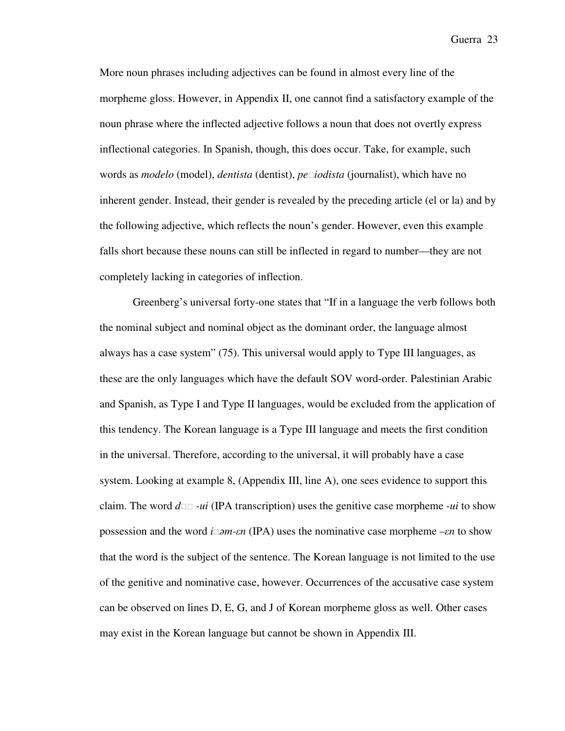More noun phrases including adjectives can be found in almost every line of the morpheme gloss. However, in Appendix II, one cannot find a satisfactory example of the noun phrase where the inflected adjective follows a noun that does not overtly express inflectional categories. In Spanish, though, this does occur. Take, for example, such words as *modelo* (model), *dentista* (dentist), *peiodista* (journalist), which have no inherent gender. Instead, their gender is revealed by the preceding article (el or la) and by the following adjective, which reflects the noun's gender. However, even this example falls short because these nouns can still be inflected in regard to number—they are not completely lacking in categories of inflection.

Greenberg's universal forty-one states that "If in a language the verb follows both the nominal subject and nominal object as the dominant order, the language almost always has a case system" (75). This universal would apply to Type III languages, as these are the only languages which have the default SOV word-order. Palestinian Arabic and Spanish, as Type I and Type II languages, would be excluded from the application of this tendency. The Korean language is a Type III language and meets the first condition in the universal. Therefore, according to the universal, it will probably have a case system. Looking at example 8, (Appendix III, line A), one sees evidence to support this claim. The word  $d\Box \Box$  *-ui* (IPA transcription) uses the genitive case morpheme *-ui* to show possession and the word *i*ə*m-*ε*n* (IPA) uses the nominative case morpheme *–*ε*n* to show that the word is the subject of the sentence. The Korean language is not limited to the use of the genitive and nominative case, however. Occurrences of the accusative case system can be observed on lines D, E, G, and J of Korean morpheme gloss as well. Other cases may exist in the Korean language but cannot be shown in Appendix III.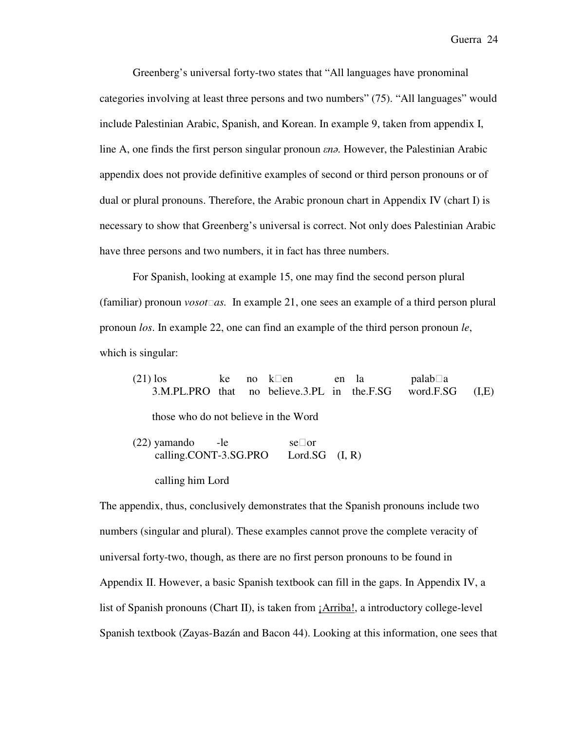Greenberg's universal forty-two states that "All languages have pronominal categories involving at least three persons and two numbers" (75). "All languages" would include Palestinian Arabic, Spanish, and Korean. In example 9, taken from appendix I, line A, one finds the first person singular pronoun ε*n*ə*.* However, the Palestinian Arabic appendix does not provide definitive examples of second or third person pronouns or of dual or plural pronouns. Therefore, the Arabic pronoun chart in Appendix IV (chart I) is necessary to show that Greenberg's universal is correct. Not only does Palestinian Arabic have three persons and two numbers, it in fact has three numbers.

For Spanish, looking at example 15, one may find the second person plural (familiar) pronoun *vosotas.* In example 21, one sees an example of a third person plural pronoun *los*. In example 22, one can find an example of the third person pronoun *le*, which is singular:

 (21) los ke no ken en la palaba 3.M.PL.PRO that no believe.3.PL in the.F.SG word.F.SG (I,E) those who do not believe in the Word (22) yamando -le seor calling.CONT-3.SG.PRO Lord.SG  $(I, R)$ 

calling him Lord

The appendix, thus, conclusively demonstrates that the Spanish pronouns include two numbers (singular and plural). These examples cannot prove the complete veracity of universal forty-two, though, as there are no first person pronouns to be found in Appendix II. However, a basic Spanish textbook can fill in the gaps. In Appendix IV, a list of Spanish pronouns (Chart II), is taken from ¡Arriba!, a introductory college-level Spanish textbook (Zayas-Bazán and Bacon 44). Looking at this information, one sees that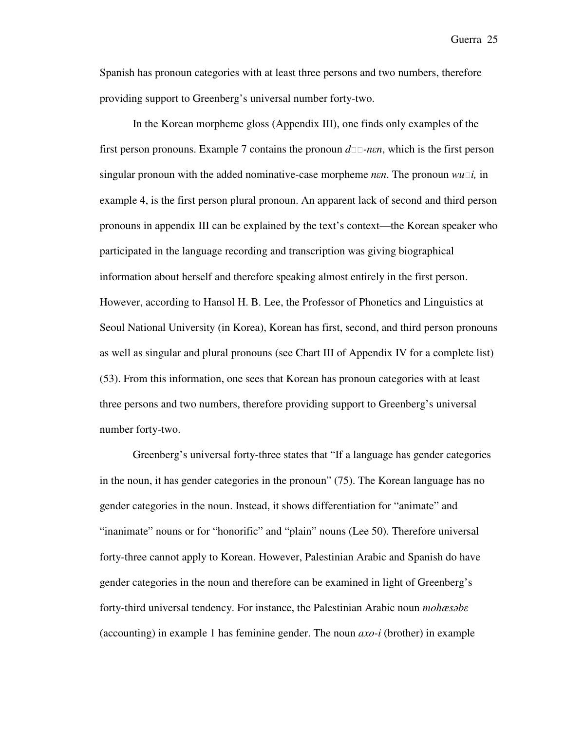Spanish has pronoun categories with at least three persons and two numbers, therefore providing support to Greenberg's universal number forty-two.

In the Korean morpheme gloss (Appendix III), one finds only examples of the first person pronouns. Example 7 contains the pronoun  $d\Box$ -nen, which is the first person singular pronoun with the added nominative-case morpheme *n*ε*n*. The pronoun *wui,* in example 4, is the first person plural pronoun. An apparent lack of second and third person pronouns in appendix III can be explained by the text's context—the Korean speaker who participated in the language recording and transcription was giving biographical information about herself and therefore speaking almost entirely in the first person. However, according to Hansol H. B. Lee, the Professor of Phonetics and Linguistics at Seoul National University (in Korea), Korean has first, second, and third person pronouns as well as singular and plural pronouns (see Chart III of Appendix IV for a complete list) (53). From this information, one sees that Korean has pronoun categories with at least three persons and two numbers, therefore providing support to Greenberg's universal number forty-two.

Greenberg's universal forty-three states that "If a language has gender categories in the noun, it has gender categories in the pronoun" (75). The Korean language has no gender categories in the noun. Instead, it shows differentiation for "animate" and "inanimate" nouns or for "honorific" and "plain" nouns (Lee 50). Therefore universal forty-three cannot apply to Korean. However, Palestinian Arabic and Spanish do have gender categories in the noun and therefore can be examined in light of Greenberg's forty-third universal tendency. For instance, the Palestinian Arabic noun *mo*ħ*æs*ə*b*ε (accounting) in example 1 has feminine gender. The noun *axo-i* (brother) in example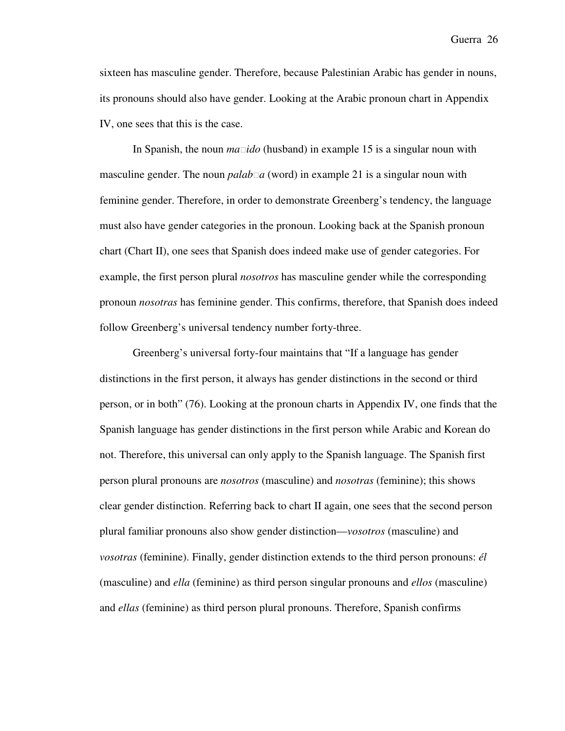sixteen has masculine gender. Therefore, because Palestinian Arabic has gender in nouns, its pronouns should also have gender. Looking at the Arabic pronoun chart in Appendix IV, one sees that this is the case.

In Spanish, the noun *maido* (husband) in example 15 is a singular noun with masculine gender. The noun *palaba* (word) in example 21 is a singular noun with feminine gender. Therefore, in order to demonstrate Greenberg's tendency, the language must also have gender categories in the pronoun. Looking back at the Spanish pronoun chart (Chart II), one sees that Spanish does indeed make use of gender categories. For example, the first person plural *nosotros* has masculine gender while the corresponding pronoun *nosotras* has feminine gender. This confirms, therefore, that Spanish does indeed follow Greenberg's universal tendency number forty-three.

Greenberg's universal forty-four maintains that "If a language has gender distinctions in the first person, it always has gender distinctions in the second or third person, or in both" (76). Looking at the pronoun charts in Appendix IV, one finds that the Spanish language has gender distinctions in the first person while Arabic and Korean do not. Therefore, this universal can only apply to the Spanish language. The Spanish first person plural pronouns are *nosotros* (masculine) and *nosotras* (feminine); this shows clear gender distinction. Referring back to chart II again, one sees that the second person plural familiar pronouns also show gender distinction—*vosotros* (masculine) and *vosotras* (feminine). Finally, gender distinction extends to the third person pronouns: *él* (masculine) and *ella* (feminine) as third person singular pronouns and *ellos* (masculine) and *ellas* (feminine) as third person plural pronouns. Therefore, Spanish confirms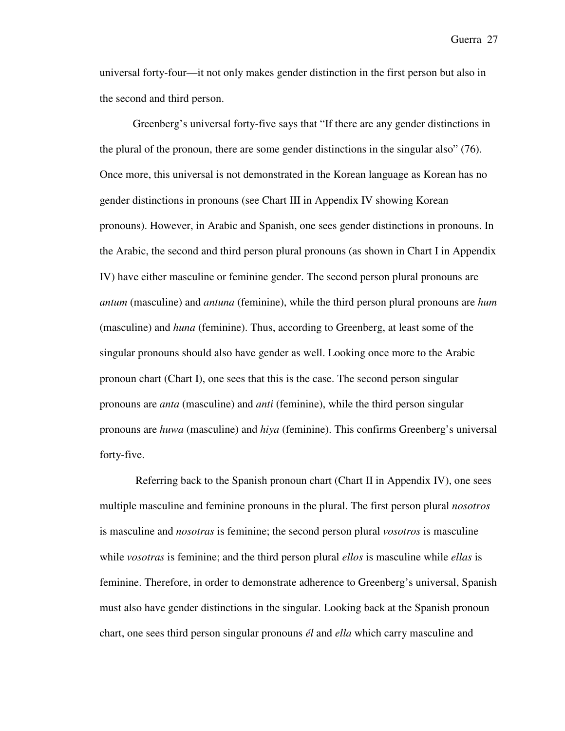universal forty-four—it not only makes gender distinction in the first person but also in the second and third person.

Greenberg's universal forty-five says that "If there are any gender distinctions in the plural of the pronoun, there are some gender distinctions in the singular also" (76). Once more, this universal is not demonstrated in the Korean language as Korean has no gender distinctions in pronouns (see Chart III in Appendix IV showing Korean pronouns). However, in Arabic and Spanish, one sees gender distinctions in pronouns. In the Arabic, the second and third person plural pronouns (as shown in Chart I in Appendix IV) have either masculine or feminine gender. The second person plural pronouns are *antum* (masculine) and *antuna* (feminine), while the third person plural pronouns are *hum* (masculine) and *huna* (feminine). Thus, according to Greenberg, at least some of the singular pronouns should also have gender as well. Looking once more to the Arabic pronoun chart (Chart I), one sees that this is the case. The second person singular pronouns are *anta* (masculine) and *anti* (feminine), while the third person singular pronouns are *huwa* (masculine) and *hiya* (feminine). This confirms Greenberg's universal forty-five.

 Referring back to the Spanish pronoun chart (Chart II in Appendix IV), one sees multiple masculine and feminine pronouns in the plural. The first person plural *nosotros* is masculine and *nosotras* is feminine; the second person plural *vosotros* is masculine while *vosotras* is feminine; and the third person plural *ellos* is masculine while *ellas* is feminine. Therefore, in order to demonstrate adherence to Greenberg's universal, Spanish must also have gender distinctions in the singular. Looking back at the Spanish pronoun chart, one sees third person singular pronouns *él* and *ella* which carry masculine and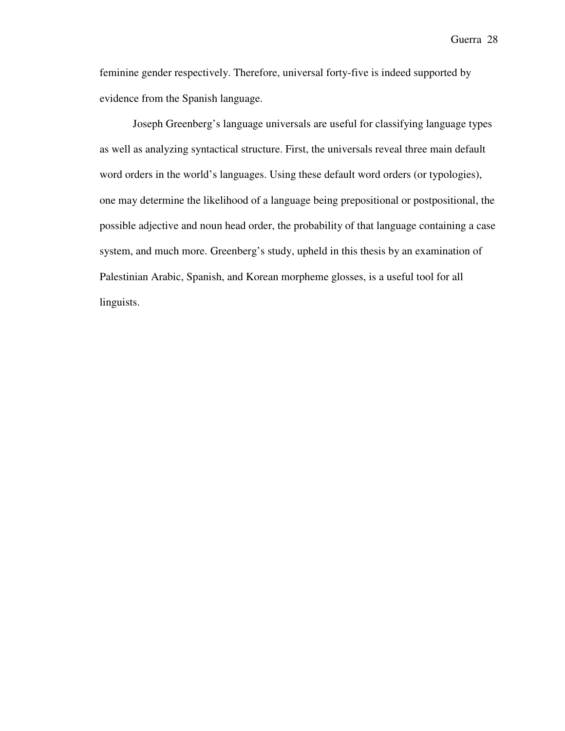feminine gender respectively. Therefore, universal forty-five is indeed supported by evidence from the Spanish language.

Joseph Greenberg's language universals are useful for classifying language types as well as analyzing syntactical structure. First, the universals reveal three main default word orders in the world's languages. Using these default word orders (or typologies), one may determine the likelihood of a language being prepositional or postpositional, the possible adjective and noun head order, the probability of that language containing a case system, and much more. Greenberg's study, upheld in this thesis by an examination of Palestinian Arabic, Spanish, and Korean morpheme glosses, is a useful tool for all linguists.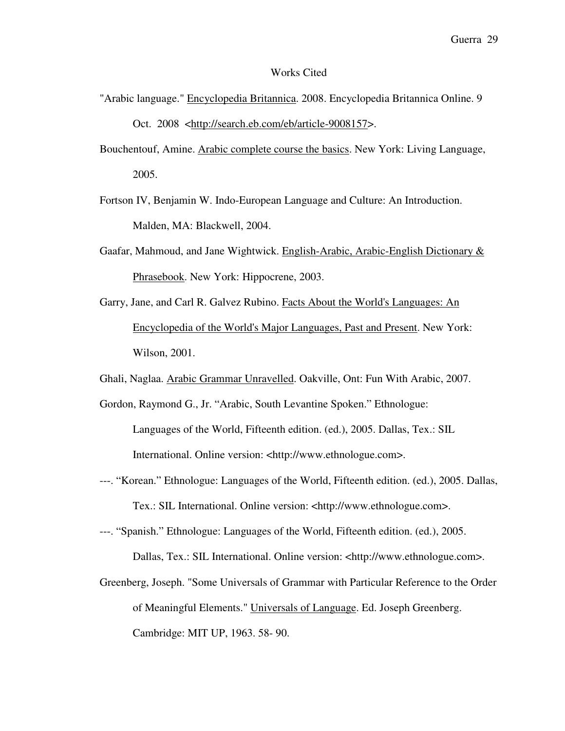### Works Cited

- "Arabic language." Encyclopedia Britannica. 2008. Encyclopedia Britannica Online. 9 Oct. 2008 <http://search.eb.com/eb/article-9008157>.
- Bouchentouf, Amine. Arabic complete course the basics. New York: Living Language, 2005.

Fortson IV, Benjamin W. Indo-European Language and Culture: An Introduction. Malden, MA: Blackwell, 2004.

- Gaafar, Mahmoud, and Jane Wightwick. English-Arabic, Arabic-English Dictionary & Phrasebook. New York: Hippocrene, 2003.
- Garry, Jane, and Carl R. Galvez Rubino. Facts About the World's Languages: An Encyclopedia of the World's Major Languages, Past and Present. New York: Wilson, 2001.

Ghali, Naglaa. Arabic Grammar Unravelled. Oakville, Ont: Fun With Arabic, 2007.

Gordon, Raymond G., Jr. "Arabic, South Levantine Spoken." Ethnologue: Languages of the World, Fifteenth edition. (ed.), 2005. Dallas, Tex.: SIL International. Online version: <http://www.ethnologue.com>.

- ---. "Korean." Ethnologue: Languages of the World, Fifteenth edition. (ed.), 2005. Dallas, Tex.: SIL International. Online version: <http://www.ethnologue.com>.
- ---. "Spanish." Ethnologue: Languages of the World, Fifteenth edition. (ed.), 2005. Dallas, Tex.: SIL International. Online version: <http://www.ethnologue.com>.
- Greenberg, Joseph. "Some Universals of Grammar with Particular Reference to the Order of Meaningful Elements." Universals of Language. Ed. Joseph Greenberg. Cambridge: MIT UP, 1963. 58- 90.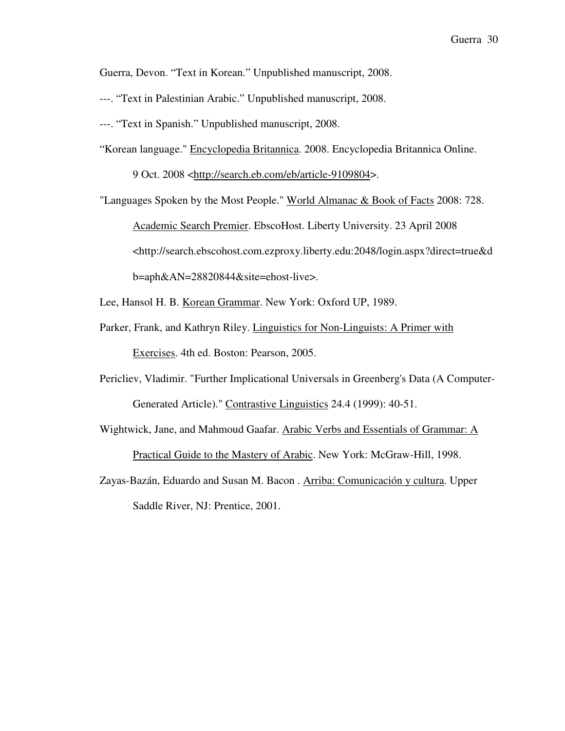Guerra, Devon. "Text in Korean." Unpublished manuscript, 2008.

- ---. "Text in Palestinian Arabic." Unpublished manuscript, 2008.
- ---. "Text in Spanish." Unpublished manuscript, 2008.
- "Korean language." Encyclopedia Britannica. 2008. Encyclopedia Britannica Online.

9 Oct. 2008 <http://search.eb.com/eb/article-9109804>.

"Languages Spoken by the Most People." World Almanac & Book of Facts 2008: 728. Academic Search Premier. EbscoHost. Liberty University. 23 April 2008

<http://search.ebscohost.com.ezproxy.liberty.edu:2048/login.aspx?direct=true&d

b=aph&AN=28820844&site=ehost-live>.

Lee, Hansol H. B. Korean Grammar. New York: Oxford UP, 1989.

- Parker, Frank, and Kathryn Riley. Linguistics for Non-Linguists: A Primer with Exercises. 4th ed. Boston: Pearson, 2005.
- Pericliev, Vladimir. "Further Implicational Universals in Greenberg's Data (A Computer-Generated Article)." Contrastive Linguistics 24.4 (1999): 40-51.
- Wightwick, Jane, and Mahmoud Gaafar. Arabic Verbs and Essentials of Grammar: A Practical Guide to the Mastery of Arabic. New York: McGraw-Hill, 1998.
- Zayas-Bazán, Eduardo and Susan M. Bacon . Arriba: Comunicación y cultura. Upper Saddle River, NJ: Prentice, 2001.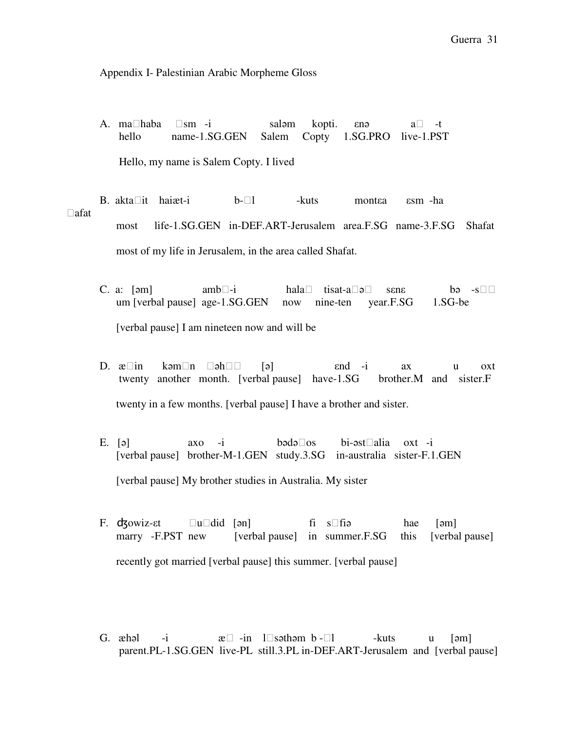### Appendix I- Palestinian Arabic Morpheme Gloss

A. mahaba sm -i saləm kopti. *εn*ə a -t hello name-1.SG.GEN Salem Copty 1.SG.PRO live-1.PST Hello, my name is Salem Copty. I lived

B. aktait haiæt-i b-l -kuts montεa εsm -ha afat most life-1.SG.GEN in-DEF.ART-Jerusalem area.F.SG name-3.F.SG Shafat most of my life in Jerusalem, in the area called Shafat.

- C. a: [əm] amb-i hala tisat-a ə sene bə -s um [verbal pause] age-1.SG.GEN now nine-ten year.F.SG 1.SG-be [verbal pause] I am nineteen now and will be
- D.  $\alpha$  in kəmn əh [ə] end -i ax u oxt twenty another month. [verbal pause] have-1.SG brother.M and sister.F twenty in a few months. [verbal pause] I have a brother and sister.
- E. [ə] axo -i bədəos bi-əstalia oxt -i [verbal pause] brother-M-1.GEN study.3.SG in-australia sister-F.1.GEN [verbal pause] My brother studies in Australia. My sister
- F. d<sub>3</sub> d<sub>3</sub> owiz-εt u did [ən] fi s fiə hae [əm] marry -F.PST new [verbal pause] in summer.F.SG this [verbal pause] recently got married [verbal pause] this summer. [verbal pause]
- G. æhəl -i æ -in lsəthəm b -l -kuts u [əm] parent.PL-1.SG.GEN live-PL still.3.PL in-DEF.ART-Jerusalem and [verbal pause]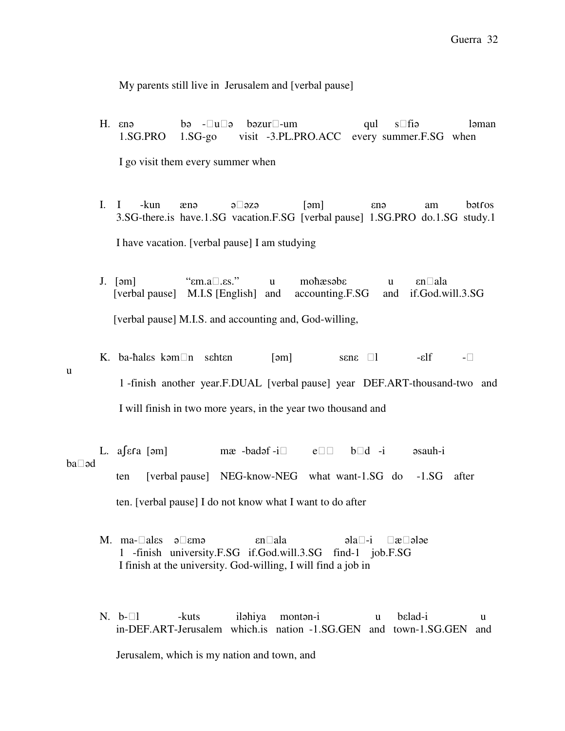My parents still live in Jerusalem and [verbal pause]

- H. enə bə -u ə bəzur -um qul s fiə ləman 1.SG.PRO 1.SG-go visit -3.PL.PRO.ACC every summer.F.SG when I go visit them every summer when
- I. I -kun ænə ə əzə [əm] enə am bətros 3.SG-there.is have.1.SG vacation.F.SG [verbal pause] 1.SG.PRO do.1.SG study.1 I have vacation. [verbal pause] I am studying
- J. [əm] "εm.a.εs." u moħæsəbε u εnala [verbal pause] M.I.S [English] and accounting.F.SG and if.God.will.3.SG [verbal pause] M.I.S. and accounting and, God-willing,
- K. ba-hales kəmn sehten [əm] sene l -elf u 1 -finish another year.F.DUAL [verbal pause] year DEF.ART-thousand-two and I will finish in two more years, in the year two thousand and

L. a [ε ra [əm] mæ -badəf -i e b d -i əsauh-i baəd ten [verbal pause] NEG-know-NEG what want-1.SG do -1.SG after ten. [verbal pause] I do not know what I want to do after

- M. ma-ales ə emə en ala bala bala ələ ələ balanın azərbaycan alan balanın azərbaycan alan balanın azərbaycan alan balanın azərbaycan alan balanın azərbaycan alan balanın azərbaycan alan balanın azərbaycan alan balanın azər 1 -finish university.F.SG if.God.will.3.SG find-1 job.F.SG I finish at the university. God-willing, I will find a job in
- N. b-l -kuts iləhiya montən-i u bεlad-i u in-DEF.ART-Jerusalem which.is nation -1.SG.GEN and town-1.SG.GEN and Jerusalem, which is my nation and town, and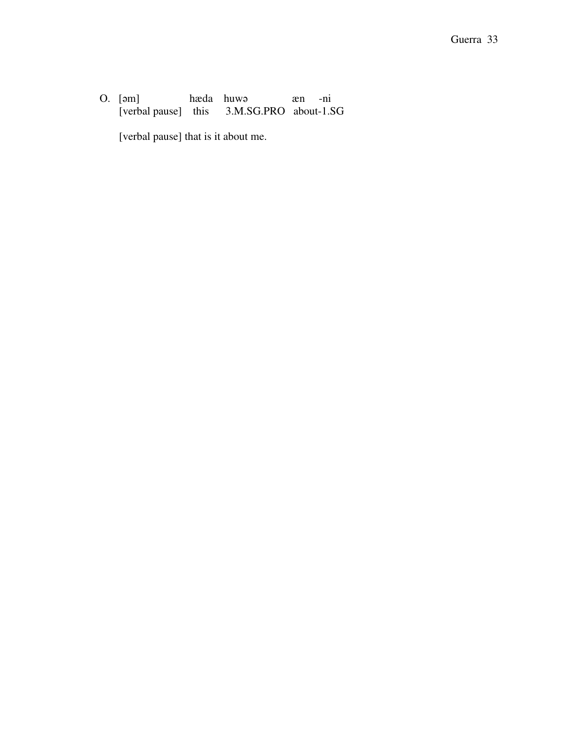O. [əm] hæda huwə æn -ni<br>[verbal pause] this 3.M.SG.PRO about-1.S 3.M.SG.PRO about-1.SG

[verbal pause] that is it about me.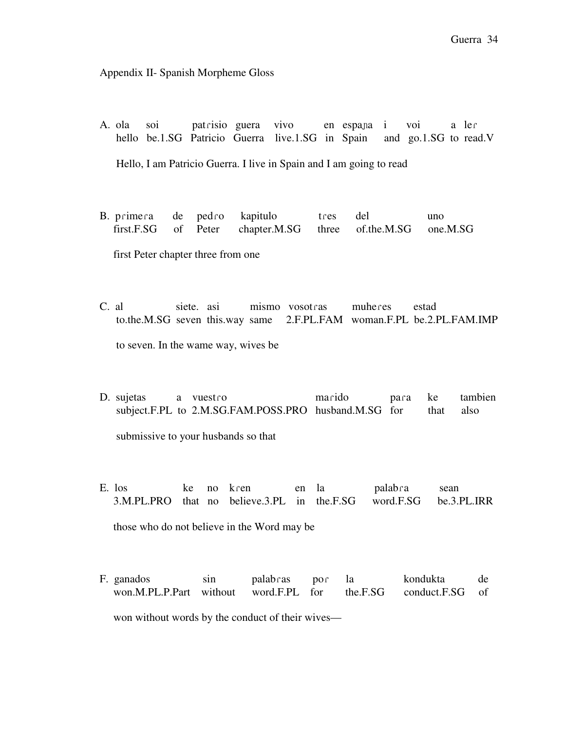Appendix II- Spanish Morpheme Gloss

- A. ola soi patɾisio guera vivo en espaɲa i voi a leɾ hello be.1.SG Patricio Guerra live.1.SG in Spain and go.1.SG to read.V Hello, I am Patricio Guerra. I live in Spain and I am going to read
- B. primera de pedro kapitulo tres del uno first.F.SG of Peter chapter.M.SG three of.the.M.SG one.M.SG

first Peter chapter three from one

- C. al siete. asi mismo vosotɾas muheɾes estad to.the.M.SG seven this.way same 2.F.PL.FAM woman.F.PL be.2.PL.FAM.IMP to seven. In the wame way, wives be
- D. sujetas a vuestro marido para ke tambien subject.F.PL to 2.M.SG.FAM.POSS.PRO husband.M.SG for that also submissive to your husbands so that
- E. los ke no kren en la palabra sean 3.M.PL.PRO that no believe.3.PL in the.F.SG word.F.SG be.3.PL.IRR those who do not believe in the Word may be
- F. ganados sin palabɾas poɾ la kondukta de won.M.PL.P.Part without word.F.PL for the.F.SG conduct.F.SG of won without words by the conduct of their wives—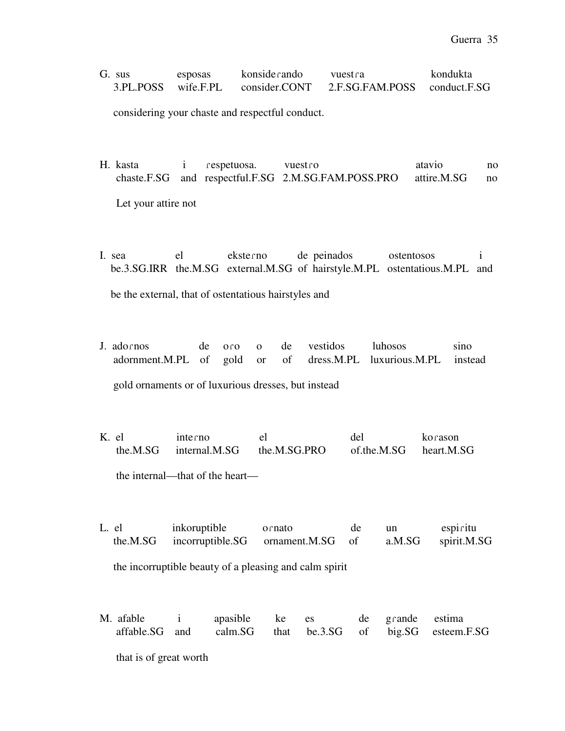| G. sus    | esposas   | konsiderando  | vuestra                      | kondukta |
|-----------|-----------|---------------|------------------------------|----------|
| 3.PL.POSS | wife.F.PL | consider.CONT | 2.F.SG.FAM.POSS conduct.F.SG |          |

considering your chaste and respectful conduct.

- H. kasta i respetuosa. vuestro atavio no chaste.F.SG and respectful.F.SG 2.M.SG.FAM.POSS.PRO attire.M.SG no Let your attire not
- I. sea el eksteɾno de peinados ostentosos i be.3.SG.IRR the.M.SG external.M.SG of hairstyle.M.PL ostentatious.M.PL and be the external, that of ostentatious hairstyles and
- J. adoɾnos de oɾo o de vestidos luhosos sino adornment.M.PL of gold or of dress.M.PL luxurious.M.PL instead

gold ornaments or of luxurious dresses, but instead

K. el interno el del korason the.M.SG internal.M.SG the.M.SG.PRO of.the.M.SG heart.M.SG

the internal—that of the heart—

L. el inkoruptible ornato de un espiritu the.M.SG incorruptible.SG ornament.M.SG of a.M.SG spirit.M.SG

the incorruptible beauty of a pleasing and calm spirit

|  | M. afable i apasible ke es de grande estima |  |  |                                                           |
|--|---------------------------------------------|--|--|-----------------------------------------------------------|
|  |                                             |  |  | affable.SG and calm.SG that be.3.SG of big.SG esteem.F.SG |
|  |                                             |  |  |                                                           |

that is of great worth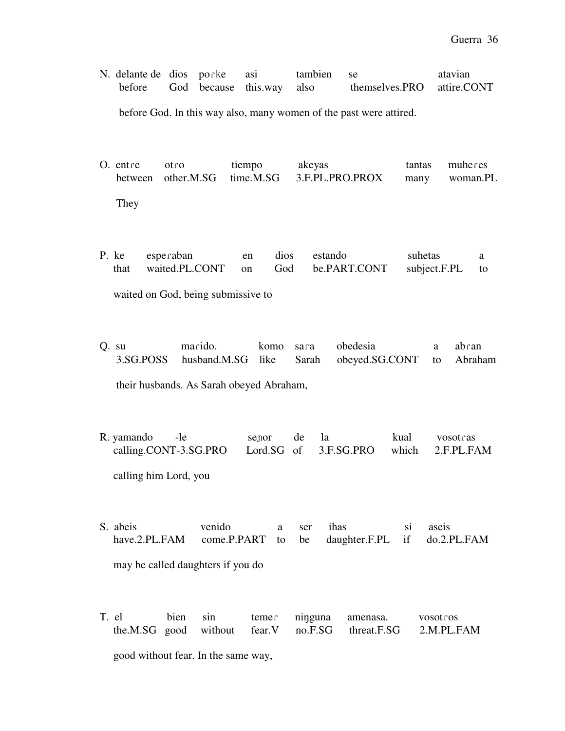| N. delante de dios por ke asi |  |                                  | tambien se |                            | atavian |
|-------------------------------|--|----------------------------------|------------|----------------------------|---------|
|                               |  | before God because this way also |            | themselves.PRO attire.CONT |         |
|                               |  |                                  |            |                            |         |

before God. In this way also, many women of the past were attired.

O. entre otro tiempo akeyas tantas muheres between other.M.SG time.M.SG 3.F.PL.PRO.PROX many woman.PL They

P. ke espeɾaban en dios estando suhetas a that waited.PL.CONT on God be.PART.CONT subject.F.PL to

waited on God, being submissive to

Q. su maɾido. komo saɾa obedesia a abɾan 3.SG.POSS husband.M.SG like Sarah obeyed.SG.CONT to Abraham

their husbands. As Sarah obeyed Abraham,

- R. yamando -le seɲor de la kual vosotɾas calling.CONT-3.SG.PRO Lord.SG of 3.F.SG.PRO which 2.F.PL.FAM calling him Lord, you
- S. abeis venido a ser ihas si aseis have.2.PL.FAM come.P.PART to be daughter.F.PL if do.2.PL.FAM may be called daughters if you do
- T. el bien sin temeɾ niŋguna amenasa. vosotɾos the.M.SG good without fear.V no.F.SG threat.F.SG 2.M.PL.FAM good without fear. In the same way,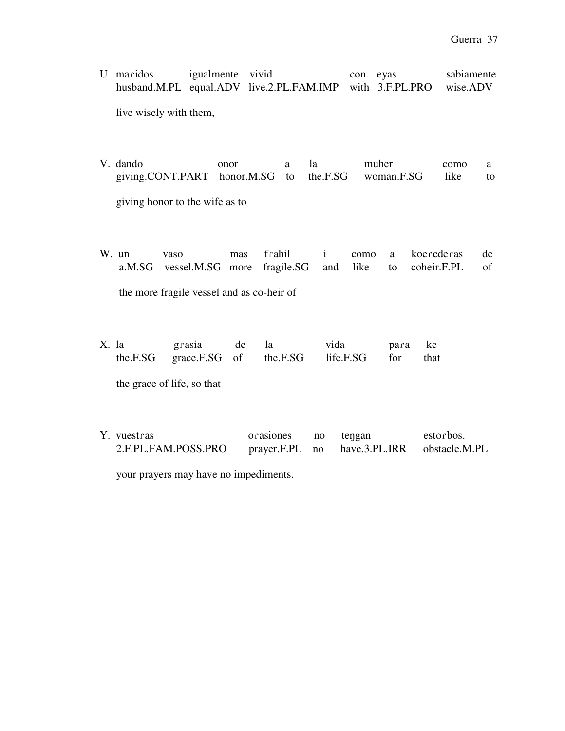U. maridos igualmente vivid con eyas sabiamente husband.M.PL equal.ADV live.2.PL.FAM.IMP with 3.F.PL.PRO wise.ADV

live wisely with them,

V. dando onor a la muher como a giving.CONT.PART honor.M.SG to the.F.SG woman.F.SG like to giving honor to the wife as to

W. un vaso mas fɾahil i como a koeɾedeɾas de a.M.SG vessel.M.SG more fragile.SG and like to coheir.F.PL of

the more fragile vessel and as co-heir of

| X. la | grasia de la                                       |  | vida | para ke |  |
|-------|----------------------------------------------------|--|------|---------|--|
|       | the.F.SG grace.F.SG of the.F.SG life.F.SG for that |  |      |         |  |

the grace of life, so that

| Y. vuestras         | orasiones      | no | tengan        | estorbos.     |
|---------------------|----------------|----|---------------|---------------|
| 2.F.PL.FAM.POSS.PRO | prayer.F.PL no |    | have.3.PL.IRR | obstacle.M.PL |

your prayers may have no impediments.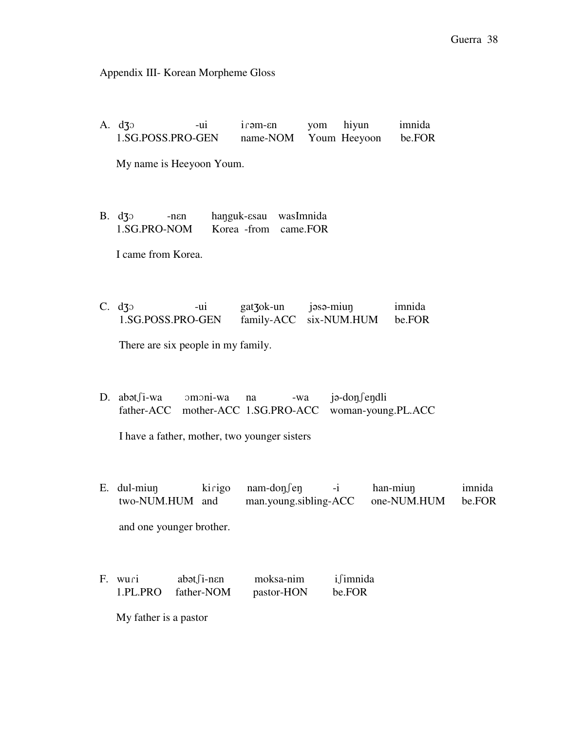Appendix III- Korean Morpheme Gloss

A. d3<sup>o</sup> -ui irəm-en yom hiyun imnida 1.SG.POSS.PRO-GEN name-NOM Youm Heeyoon be.FOR My name is Heeyoon Youm. B. dʒɔ -nεn haŋguk-εsau wasImnida 1.SG.PRO-NOM Korea -from came.FOR I came from Korea. C. dʒɔ -ui gatʒok-un jəsə-miun imnida 1.SG.POSS.PRO-GEN family-ACC six-NUM.HUM be.FOR There are six people in my family.

D. abətʃi-wa ɔmɔni-wa na -wa jə-doŋʃeŋdli father-ACC mother-ACC 1.SG.PRO-ACC woman-young.PL.ACC

I have a father, mother, two younger sisters

- E. dul-miun kirigo nam-don fen -i han-miun imnida two-NUM.HUM and man.young.sibling-ACC one-NUM.HUM be.FOR and one younger brother.
- F. wuri abət fi-nen moksa-nim i fimnida 1.PL.PRO father-NOM pastor-HON be.FOR

My father is a pastor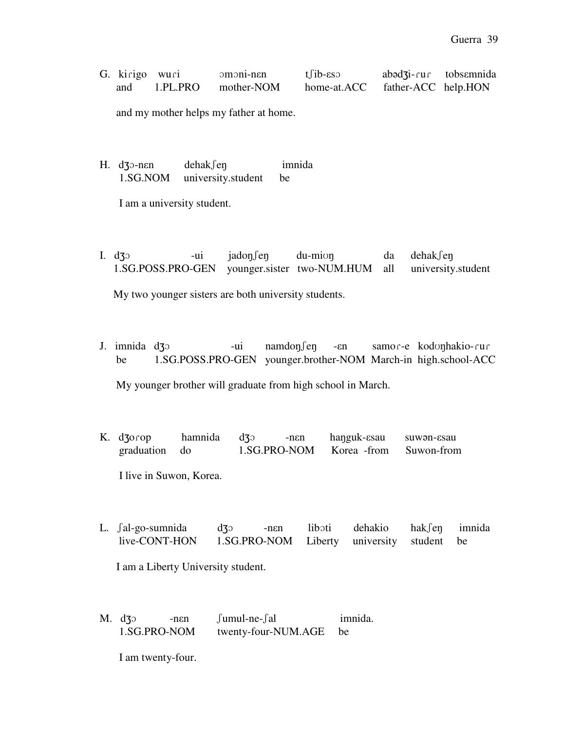| G. kirigo wuri | $omoni-nen$         | $t$ fib- $\epsilon$ so          | $ab \triangleleft 3i$ -rur tobsemnida |  |
|----------------|---------------------|---------------------------------|---------------------------------------|--|
| and            | 1.PL.PRO mother-NOM | home-at.ACC father-ACC help.HON |                                       |  |

and my mother helps my father at home.

H. d3 p-nen dehak fen imnida 1.SG.NOM university.student be

I am a university student.

I. d30 -ui jadoŋfeŋ du-mioŋ da dehakfeŋ 1.SG.POSS.PRO-GEN younger.sister two-NUM.HUM all university.student

My two younger sisters are both university students.

J. imnida dʒɔ -ui namdoŋʃeŋ -εn samoɾ-e kodʊŋhakio-ɾuɾ be 1.SG.POSS.PRO-GEN younger.brother-NOM March-in high.school-ACC

My younger brother will graduate from high school in March.

K. dzorop hamnida dz -nen hanguk-esau suwən-esau graduation do 1.SG.PRO-NOM Korea -from Suwon-from

I live in Suwon, Korea.

L. *fal-go-sumnida* d3<sup>o</sup> -nen liboti dehakio hak*fen* imnida live-CONT-HON 1.SG.PRO-NOM Liberty university student be

I am a Liberty University student.

M. dʒɔ -nεn ʃumul-ne-ʃal imnida. 1.SG.PRO-NOM twenty-four-NUM.AGE be

I am twenty-four.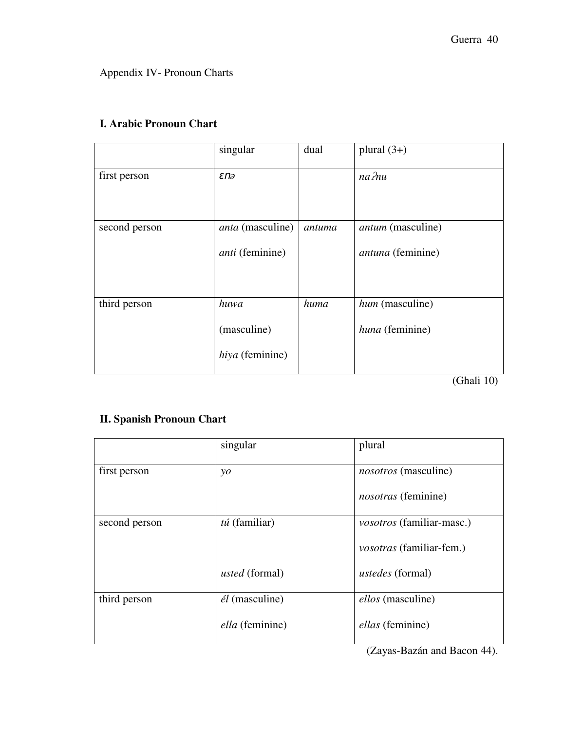Appendix IV- Pronoun Charts

|               | singular                                          | dual   | plural $(3+)$                                        |
|---------------|---------------------------------------------------|--------|------------------------------------------------------|
| first person  | $\epsilon$ na                                     |        | $na$ $\n  nu$                                        |
| second person | <i>anta</i> (masculine)<br><i>anti</i> (feminine) | antuma | <i>antum</i> (masculine)<br><i>antuna</i> (feminine) |
| third person  | huwa<br>(masculine)<br>hiya (feminine)            | huma   | hum (masculine)<br>huna (feminine)                   |

# **I. Arabic Pronoun Chart**

(Ghali 10)

# **II. Spanish Pronoun Chart**

|               | singular                 | plural                           |
|---------------|--------------------------|----------------------------------|
| first person  | $\mathcal{V}$            | nosotros (masculine)             |
|               |                          | <i>nosotras</i> (feminine)       |
| second person | $t\acute{u}$ (familiar)  | <i>vosotros</i> (familiar-masc.) |
|               |                          | <i>vosotras</i> (familiar-fem.)  |
|               | <i>usted</i> (formal)    | <i>ustedes</i> (formal)          |
| third person  | $\acute{e}l$ (masculine) | ellos (masculine)                |
|               | <i>ella</i> (feminine)   | <i>ellas</i> (feminine)          |

(Zayas-Bazán and Bacon 44).